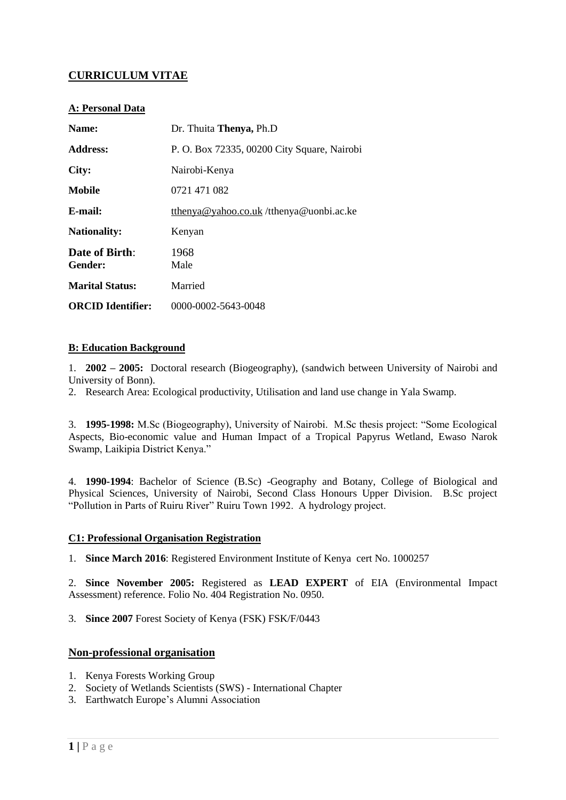# **CURRICULUM VITAE**

# **A: Personal Data**

| Name:                            | Dr. Thuita Thenya, Ph.D                     |
|----------------------------------|---------------------------------------------|
| <b>Address:</b>                  | P. O. Box 72335, 00200 City Square, Nairobi |
| City:                            | Nairobi-Kenya                               |
| Mobile                           | 0721 471 082                                |
| E-mail:                          | tthenya@yahoo.co.uk/tthenya@uonbi.ac.ke     |
| <b>Nationality:</b>              | Kenyan                                      |
| <b>Date of Birth:</b><br>Gender: | 1968<br>Male                                |
| <b>Marital Status:</b>           | Married                                     |
| <b>ORCID</b> Identifier:         | 0000-0002-5643-0048                         |

### **B: Education Background**

1. **2002 – 2005:** Doctoral research (Biogeography), (sandwich between University of Nairobi and University of Bonn).

2. Research Area: Ecological productivity, Utilisation and land use change in Yala Swamp.

3. **1995-1998:** M.Sc (Biogeography), University of Nairobi. M.Sc thesis project: "Some Ecological Aspects, Bio-economic value and Human Impact of a Tropical Papyrus Wetland, Ewaso Narok Swamp, Laikipia District Kenya."

4. **1990-1994**: Bachelor of Science (B.Sc) -Geography and Botany, College of Biological and Physical Sciences, University of Nairobi, Second Class Honours Upper Division. B.Sc project "Pollution in Parts of Ruiru River" Ruiru Town 1992. A hydrology project.

#### **C1: Professional Organisation Registration**

1. **Since March 2016**: Registered Environment Institute of Kenya cert No. 1000257

2. **Since November 2005:** Registered as **LEAD EXPERT** of EIA (Environmental Impact Assessment) reference. Folio No. 404 Registration No. 0950.

3. **Since 2007** Forest Society of Kenya (FSK) FSK/F/0443

# **Non-professional organisation**

- 1. Kenya Forests Working Group
- 2. Society of Wetlands Scientists (SWS) International Chapter
- 3. Earthwatch Europe's Alumni Association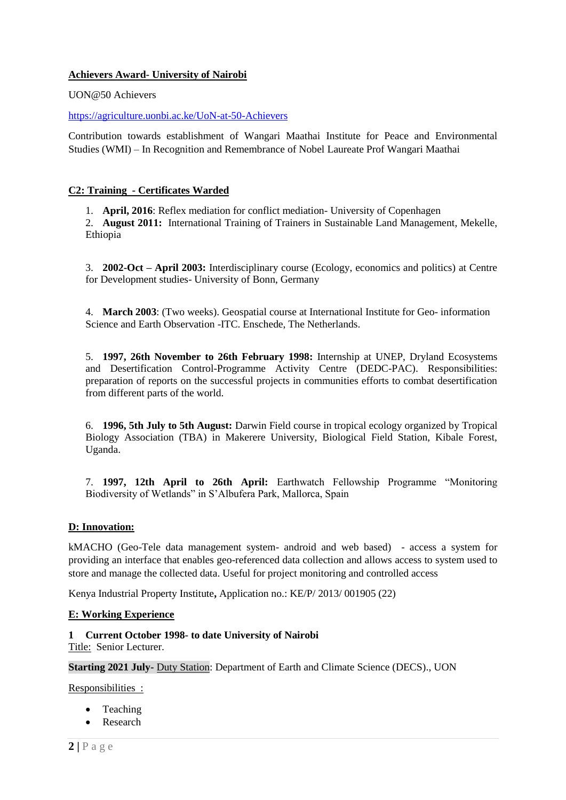### **Achievers Award- University of Nairobi**

UON@50 Achievers

#### <https://agriculture.uonbi.ac.ke/UoN-at-50-Achievers>

Contribution towards establishment of Wangari Maathai Institute for Peace and Environmental Studies (WMI) – In Recognition and Remembrance of Nobel Laureate Prof Wangari Maathai

### **C2: Training - Certificates Warded**

1. **April, 2016**: Reflex mediation for conflict mediation- University of Copenhagen

2. **August 2011:** International Training of Trainers in Sustainable Land Management, Mekelle, Ethiopia

3. **2002-Oct – April 2003:** Interdisciplinary course (Ecology, economics and politics) at Centre for Development studies- University of Bonn, Germany

4. **March 2003**: (Two weeks). Geospatial course at International Institute for Geo- information Science and Earth Observation -ITC. Enschede, The Netherlands.

5. **1997, 26th November to 26th February 1998:** Internship at UNEP, Dryland Ecosystems and Desertification Control-Programme Activity Centre (DEDC-PAC). Responsibilities: preparation of reports on the successful projects in communities efforts to combat desertification from different parts of the world.

6. **1996, 5th July to 5th August:** Darwin Field course in tropical ecology organized by Tropical Biology Association (TBA) in Makerere University, Biological Field Station, Kibale Forest, Uganda.

7. **1997, 12th April to 26th April:** Earthwatch Fellowship Programme "Monitoring Biodiversity of Wetlands" in S'Albufera Park, Mallorca, Spain

#### **D: Innovation:**

kMACHO (Geo-Tele data management system- android and web based) - access a system for providing an interface that enables geo-referenced data collection and allows access to system used to store and manage the collected data. Useful for project monitoring and controlled access

Kenya Industrial Property Institute**,** Application no.: KE/P/ 2013/ 001905 (22)

#### **E: Working Experience**

**1 Current October 1998- to date University of Nairobi**

Title: Senior Lecturer.

**Starting 2021 July-** Duty Station: Department of Earth and Climate Science (DECS)., UON

Responsibilities :

- Teaching
- Research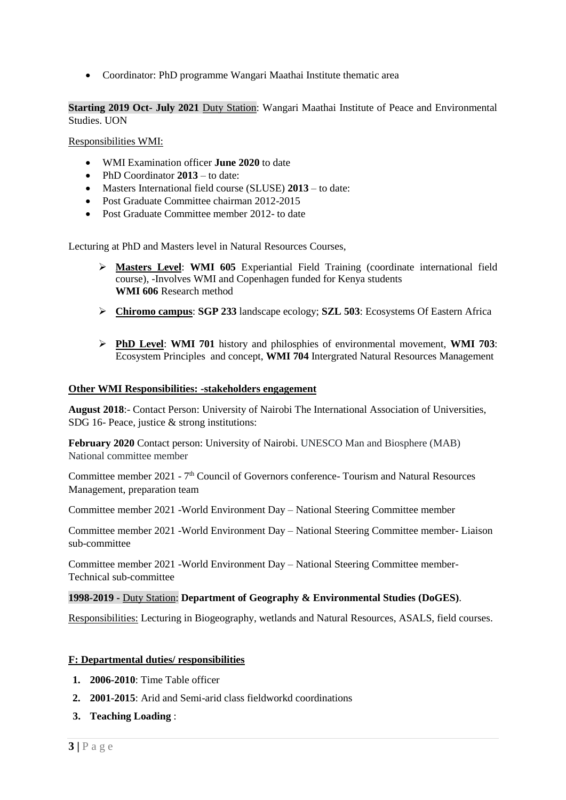Coordinator: PhD programme Wangari Maathai Institute thematic area

**Starting 2019 Oct- July 2021** Duty Station: Wangari Maathai Institute of Peace and Environmental Studies. UON

Responsibilities WMI:

- WMI Examination officer **June 2020** to date
- PhD Coordinator 2013 to date:
- Masters International field course (SLUSE) **2013** to date:
- Post Graduate Committee chairman 2012-2015
- Post Graduate Committee member 2012- to date

Lecturing at PhD and Masters level in Natural Resources Courses,

- **Masters Level**: **WMI 605** Experiantial Field Training (coordinate international field course), -Involves WMI and Copenhagen funded for Kenya students **WMI 606** Research method
- **Chiromo campus**: **SGP 233** landscape ecology; **SZL 503**: Ecosystems Of Eastern Africa
- **PhD Level**: **WMI 701** history and philosphies of environmental movement, **WMI 703**: Ecosystem Principles and concept, **WMI 704** Intergrated Natural Resources Management

#### **Other WMI Responsibilities: -stakeholders engagement**

**August 2018**:- Contact Person: University of Nairobi The International Association of Universities, SDG 16- Peace, justice & strong institutions:

**February 2020** Contact person: University of Nairobi. UNESCO Man and Biosphere (MAB) National committee member

Committee member 2021 - 7<sup>th</sup> Council of Governors conference- Tourism and Natural Resources Management, preparation team

Committee member 2021 -World Environment Day – National Steering Committee member

Committee member 2021 -World Environment Day – National Steering Committee member- Liaison sub-committee

Committee member 2021 -World Environment Day – National Steering Committee member-Technical sub-committee

#### **1998-2019 -** Duty Station: **Department of Geography & Environmental Studies (DoGES)**.

Responsibilities: Lecturing in Biogeography, wetlands and Natural Resources, ASALS, field courses.

#### **F: Departmental duties/ responsibilities**

- **1. 2006-2010**: Time Table officer
- **2. 2001-2015**: Arid and Semi-arid class fieldworkd coordinations
- **3. Teaching Loading** :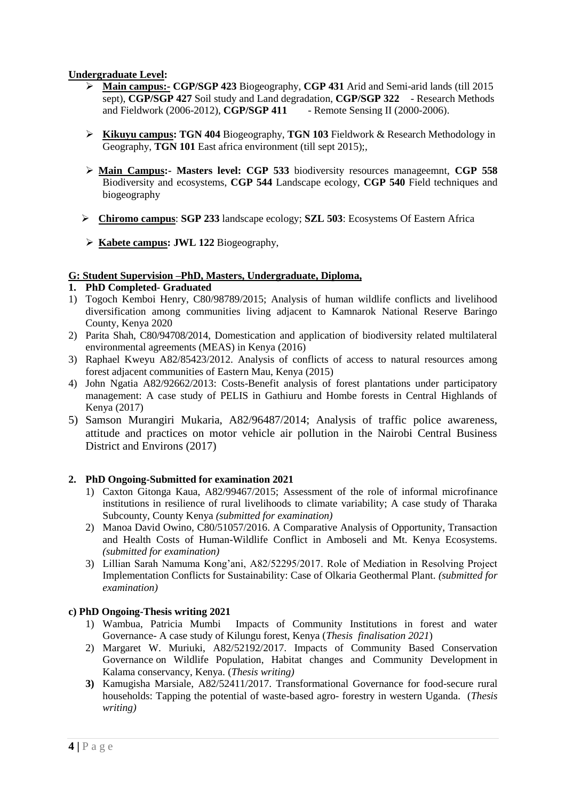### **Undergraduate Level:**

- **Main campus:- CGP/SGP 423** Biogeography, **CGP 431** Arid and Semi-arid lands (till 2015 sept), **CGP/SGP 427** Soil study and Land degradation, **CGP/SGP 322** - Research Methods and Fieldwork (2006-2012), **CGP/SGP 411** - Remote Sensing II (2000-2006).
- **Kikuyu campus: TGN 404** Biogeography, **TGN 103** Fieldwork & Research Methodology in Geography, **TGN 101** East africa environment (till sept 2015);
- **Main Campus:- Masters level: CGP 533** biodiversity resources manageemnt, **CGP 558** Biodiversity and ecosystems, **CGP 544** Landscape ecology, **CGP 540** Field techniques and biogeography
- **Chiromo campus**: **SGP 233** landscape ecology; **SZL 503**: Ecosystems Of Eastern Africa
- **Kabete campus: JWL 122** Biogeography,

#### **G: Student Supervision –PhD, Masters, Undergraduate, Diploma,**

### **1. PhD Completed- Graduated**

- 1) Togoch Kemboi Henry, C80/98789/2015; Analysis of human wildlife conflicts and livelihood diversification among communities living adjacent to Kamnarok National Reserve Baringo County, Kenya 2020
- 2) Parita Shah, C80/94708/2014, Domestication and application of biodiversity related multilateral environmental agreements (MEAS) in Kenya (2016)
- 3) Raphael Kweyu A82/85423/2012. Analysis of conflicts of access to natural resources among forest adjacent communities of Eastern Mau, Kenya (2015)
- 4) John Ngatia A82/92662/2013: Costs-Benefit analysis of forest plantations under participatory management: A case study of PELIS in Gathiuru and Hombe forests in Central Highlands of Kenya (2017)
- 5) Samson Murangiri Mukaria, A82/96487/2014; Analysis of traffic police awareness, attitude and practices on motor vehicle air pollution in the Nairobi Central Business District and Environs (2017)

# **2. PhD Ongoing-Submitted for examination 2021**

- 1) Caxton Gitonga Kaua, A82/99467/2015; Assessment of the role of informal microfinance institutions in resilience of rural livelihoods to climate variability; A case study of Tharaka Subcounty, County Kenya *(submitted for examination)*
- 2) Manoa David Owino, C80/51057/2016. A Comparative Analysis of Opportunity, Transaction and Health Costs of Human-Wildlife Conflict in Amboseli and Mt. Kenya Ecosystems. *(submitted for examination)*
- 3) Lillian Sarah Namuma Kong'ani, A82/52295/2017. Role of Mediation in Resolving Project Implementation Conflicts for Sustainability: Case of Olkaria Geothermal Plant. *(submitted for examination)*

#### **c) PhD Ongoing-Thesis writing 2021**

- 1) Wambua, Patricia Mumbi Impacts of Community Institutions in forest and water Governance- A case study of Kilungu forest, Kenya (*Thesis finalisation 2021*)
- 2) Margaret W. Muriuki, A82/52192/2017. Impacts of Community Based Conservation Governance on Wildlife Population, Habitat changes and Community Development in Kalama conservancy, Kenya. (*Thesis writing)*
- **3)** Kamugisha Marsiale, A82/52411/2017. Transformational Governance for food-secure rural households: Tapping the potential of waste-based agro- forestry in western Uganda. (*Thesis writing)*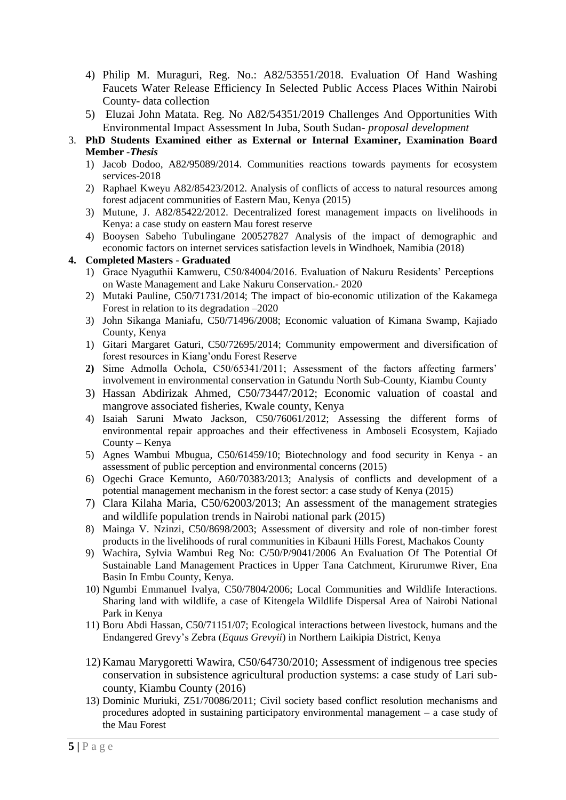- 4) Philip M. Muraguri, Reg. No.: A82/53551/2018. Evaluation Of Hand Washing Faucets Water Release Efficiency In Selected Public Access Places Within Nairobi County- data collection
- 5) Eluzai John Matata. Reg. No A82/54351/2019 Challenges And Opportunities With Environmental Impact Assessment In Juba, South Sudan- *proposal development*
- 3. **PhD Students Examined either as External or Internal Examiner, Examination Board Member** *-Thesis*
	- 1) Jacob Dodoo, A82/95089/2014. Communities reactions towards payments for ecosystem services-2018
	- 2) Raphael Kweyu A82/85423/2012. Analysis of conflicts of access to natural resources among forest adjacent communities of Eastern Mau, Kenya (2015)
	- 3) Mutune, J. A82/85422/2012. Decentralized forest management impacts on livelihoods in Kenya: a case study on eastern Mau forest reserve
	- 4) Booysen Sabeho Tubulingane 200527827 Analysis of the impact of demographic and economic factors on internet services satisfaction levels in Windhoek, Namibia (2018)

# **4. Completed Masters - Graduated**

- 1) Grace Nyaguthii Kamweru, C50/84004/2016. Evaluation of Nakuru Residents' Perceptions on Waste Management and Lake Nakuru Conservation.- 2020
- 2) Mutaki Pauline, C50/71731/2014; The impact of bio-economic utilization of the Kakamega Forest in relation to its degradation –2020
- 3) John Sikanga Maniafu, C50/71496/2008; Economic valuation of Kimana Swamp, Kajiado County, Kenya
- 1) Gitari Margaret Gaturi, C50/72695/2014; Community empowerment and diversification of forest resources in Kiang'ondu Forest Reserve
- **2)** Sime Admolla Ochola, C50/65341/2011; Assessment of the factors affecting farmers' involvement in environmental conservation in Gatundu North Sub-County, Kiambu County
- 3) Hassan Abdirizak Ahmed, C50/73447/2012; Economic valuation of coastal and mangrove associated fisheries, Kwale county, Kenya
- 4) Isaiah Saruni Mwato Jackson, C50/76061/2012; Assessing the different forms of environmental repair approaches and their effectiveness in Amboseli Ecosystem, Kajiado County – Kenya
- 5) Agnes Wambui Mbugua, C50/61459/10; Biotechnology and food security in Kenya an assessment of public perception and environmental concerns (2015)
- 6) Ogechi Grace Kemunto, A60/70383/2013; Analysis of conflicts and development of a potential management mechanism in the forest sector: a case study of Kenya (2015)
- 7) Clara Kilaha Maria, C50/62003/2013; An assessment of the management strategies and wildlife population trends in Nairobi national park (2015)
- 8) Mainga V. Nzinzi, C50/8698/2003; Assessment of diversity and role of non-timber forest products in the livelihoods of rural communities in Kibauni Hills Forest, Machakos County
- 9) Wachira, Sylvia Wambui Reg No: C/50/P/9041/2006 An Evaluation Of The Potential Of Sustainable Land Management Practices in Upper Tana Catchment, Kirurumwe River, Ena Basin In Embu County, Kenya.
- 10) Ngumbi Emmanuel Ivalya, C50/7804/2006; Local Communities and Wildlife Interactions. Sharing land with wildlife, a case of Kitengela Wildlife Dispersal Area of Nairobi National Park in Kenya
- 11) Boru Abdi Hassan, C50/71151/07; Ecological interactions between livestock, humans and the Endangered Grevy's Zebra (*Equus Grevyii*) in Northern Laikipia District, Kenya
- 12) Kamau Marygoretti Wawira, C50/64730/2010; Assessment of indigenous tree species conservation in subsistence agricultural production systems: a case study of Lari subcounty, Kiambu County (2016)
- 13) Dominic Muriuki, Z51/70086/2011; Civil society based conflict resolution mechanisms and procedures adopted in sustaining participatory environmental management – a case study of the Mau Forest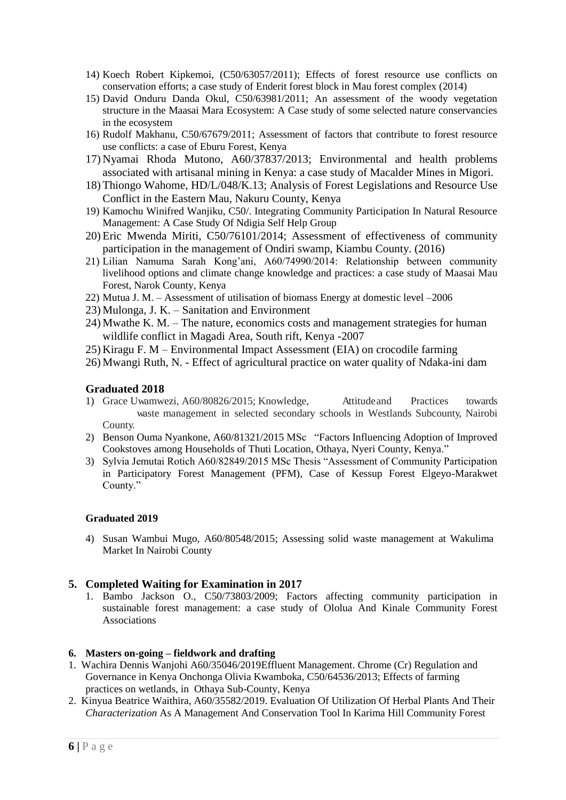- 14) Koech Robert Kipkemoi, (C50/63057/2011); Effects of forest resource use conflicts on conservation efforts; a case study of Enderit forest block in Mau forest complex (2014)
- 15) David Onduru Danda Okul, C50/63981/2011; An assessment of the woody vegetation structure in the Maasai Mara Ecosystem: A Case study of some selected nature conservancies in the ecosystem
- 16) Rudolf Makhanu, C50/67679/2011; Assessment of factors that contribute to forest resource use conflicts: a case of Eburu Forest, Kenya
- 17) Nyamai Rhoda Mutono, A60/37837/2013; Environmental and health problems associated with artisanal mining in Kenya: a case study of Macalder Mines in Migori.
- 18) Thiongo Wahome, HD/L/048/K.13; Analysis of Forest Legislations and Resource Use Conflict in the Eastern Mau, Nakuru County, Kenya
- 19) Kamochu Winifred Wanjiku, C50/. Integrating Community Participation In Natural Resource Management: A Case Study Of Ndigia Self Help Group
- 20) Eric Mwenda Miriti, C50/76101/2014; Assessment of effectiveness of community participation in the management of Ondiri swamp, Kiambu County. (2016)
- 21) Lilian Namuma Sarah Kong'ani, A60/74990/2014: Relationship between community livelihood options and climate change knowledge and practices: a case study of Maasai Mau Forest, Narok County, Kenya
- 22) Mutua J. M. Assessment of utilisation of biomass Energy at domestic level –2006
- 23) Mulonga, J. K. Sanitation and Environment
- 24) Mwathe K. M. The nature, economics costs and management strategies for human wildlife conflict in Magadi Area, South rift, Kenya -2007
- 25) Kiragu F. M Environmental Impact Assessment (EIA) on crocodile farming
- 26) Mwangi Ruth, N. Effect of agricultural practice on water quality of Ndaka-ini dam

# **Graduated 2018**

- 1) Grace Uwamwezi, A60/80826/2015; Knowledge, Attitudeand Practices towards waste management in selected secondary schools in Westlands Subcounty, Nairobi County.
- 2) Benson Ouma Nyankone, A60/81321/2015 MSc "Factors Influencing Adoption of Improved Cookstoves among Households of Thuti Location, Othaya, Nyeri County, Kenya."
- 3) Sylvia Jemutai Rotich A60/82849/2015 MSc Thesis "Assessment of Community Participation in Participatory Forest Management (PFM), Case of Kessup Forest Elgeyo-Marakwet County."

#### **Graduated 2019**

4) Susan Wambui Mugo, A60/80548/2015; Assessing solid waste management at Wakulima Market In Nairobi County

# **5. Completed Waiting for Examination in 2017**

1. Bambo Jackson O., C50/73803/2009; Factors affecting community participation in sustainable forest management: a case study of Ololua And Kinale Community Forest Associations

#### **6. Masters on-going – fieldwork and drafting**

- 1. Wachira Dennis Wanjohi A60/35046/2019Effluent Management. Chrome (Cr) Regulation and Governance in Kenya Onchonga Olivia Kwamboka, C50/64536/2013; Effects of farming practices on wetlands, in Othaya Sub-County, Kenya
- 2. Kinyua Beatrice Waithira, A60/35582/2019. Evaluation Of Utilization Of Herbal Plants And Their *Characterization* As A Management And Conservation Tool In Karima Hill Community Forest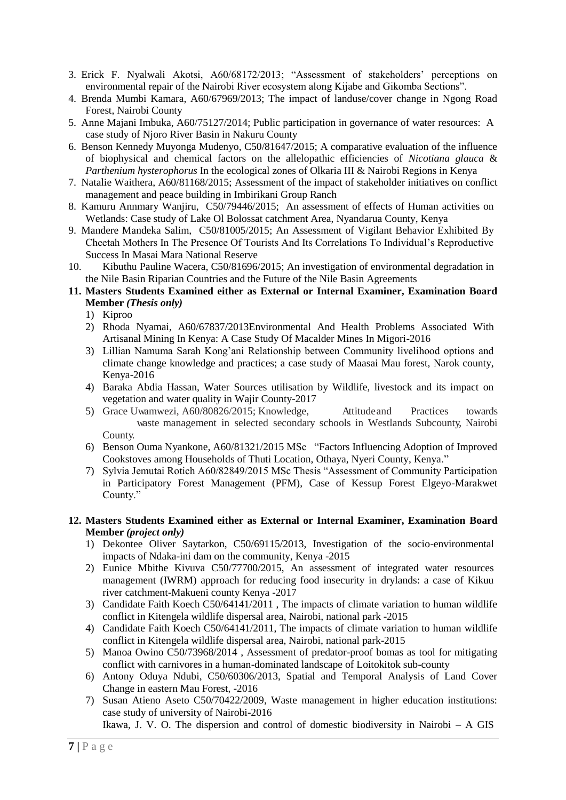- 3. Erick F. Nyalwali Akotsi, A60/68172/2013; "Assessment of stakeholders' perceptions on environmental repair of the Nairobi River ecosystem along Kijabe and Gikomba Sections".
- 4. Brenda Mumbi Kamara, A60/67969/2013; The impact of landuse/cover change in Ngong Road Forest, Nairobi County
- 5. Anne Majani Imbuka, A60/75127/2014; Public participation in governance of water resources: A case study of Njoro River Basin in Nakuru County
- 6. Benson Kennedy Muyonga Mudenyo, C50/81647/2015; A comparative evaluation of the influence of biophysical and chemical factors on the allelopathic efficiencies of *Nicotiana glauca* & *Parthenium hysterophorus* In the ecological zones of Olkaria III & Nairobi Regions in Kenya
- 7. Natalie Waithera, A60/81168/2015; Assessment of the impact of stakeholder initiatives on conflict management and peace building in Imbirikani Group Ranch
- 8. Kamuru Annmary Wanjiru, C50/79446/2015; An assessment of effects of Human activities on Wetlands: Case study of Lake Ol Bolossat catchment Area, Nyandarua County, Kenya
- 9. Mandere Mandeka Salim, C50/81005/2015; An Assessment of Vigilant Behavior Exhibited By Cheetah Mothers In The Presence Of Tourists And Its Correlations To Individual's Reproductive Success In Masai Mara National Reserve
- 10. Kibuthu Pauline Wacera, C50/81696/2015; An investigation of environmental degradation in the Nile Basin Riparian Countries and the Future of the Nile Basin Agreements
- **11. Masters Students Examined either as External or Internal Examiner, Examination Board Member** *(Thesis only)*
	- 1) Kiproo
	- 2) Rhoda Nyamai, A60/67837/2013Environmental And Health Problems Associated With Artisanal Mining In Kenya: A Case Study Of Macalder Mines In Migori-2016
	- 3) Lillian Namuma Sarah Kong'ani Relationship between Community livelihood options and climate change knowledge and practices; a case study of Maasai Mau forest, Narok county, Kenya-2016
	- 4) Baraka Abdia Hassan, Water Sources utilisation by Wildlife, livestock and its impact on vegetation and water quality in Wajir County-2017
	- 5) Grace Uwamwezi, A60/80826/2015; Knowledge, Attitudeand Practices towards waste management in selected secondary schools in Westlands Subcounty, Nairobi County.
	- 6) Benson Ouma Nyankone, A60/81321/2015 MSc "Factors Influencing Adoption of Improved Cookstoves among Households of Thuti Location, Othaya, Nyeri County, Kenya."
	- 7) Sylvia Jemutai Rotich A60/82849/2015 MSc Thesis "Assessment of Community Participation in Participatory Forest Management (PFM), Case of Kessup Forest Elgeyo-Marakwet County."
- **12. Masters Students Examined either as External or Internal Examiner, Examination Board Member** *(project only)*
	- 1) Dekontee Oliver Saytarkon, C50/69115/2013, Investigation of the socio-environmental impacts of Ndaka-ini dam on the community, Kenya -2015
	- 2) Eunice Mbithe Kivuva C50/77700/2015, An assessment of integrated water resources management (IWRM) approach for reducing food insecurity in drylands: a case of Kikuu river catchment-Makueni county Kenya -2017
	- 3) Candidate Faith Koech C50/64141/2011 , The impacts of climate variation to human wildlife conflict in Kitengela wildlife dispersal area, Nairobi, national park -2015
	- 4) Candidate Faith Koech C50/64141/2011, The impacts of climate variation to human wildlife conflict in Kitengela wildlife dispersal area, Nairobi, national park-2015
	- 5) Manoa Owino C50/73968/2014 , Assessment of predator-proof bomas as tool for mitigating conflict with carnivores in a human-dominated landscape of Loitokitok sub-county
	- 6) Antony Oduya Ndubi, C50/60306/2013, Spatial and Temporal Analysis of Land Cover Change in eastern Mau Forest, -2016
	- 7) Susan Atieno Aseto C50/70422/2009, Waste management in higher education institutions: case study of university of Nairobi-2016

Ikawa, J. V. O. The dispersion and control of domestic biodiversity in Nairobi – A GIS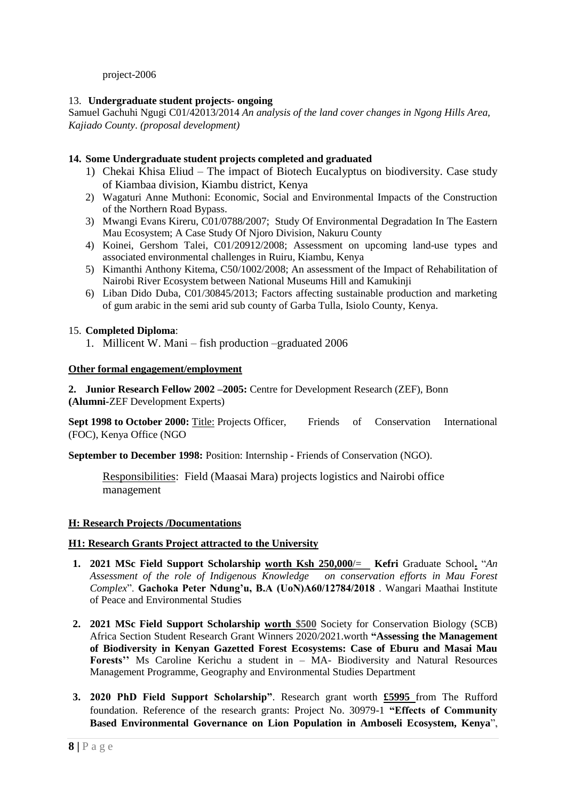project-2006

# 13. **Undergraduate student projects- ongoing**

Samuel Gachuhi Ngugi C01/42013/2014 *An analysis of the land cover changes in Ngong Hills Area, Kajiado County*. *(proposal development)*

# **14. Some Undergraduate student projects completed and graduated**

- 1) Chekai Khisa Eliud The impact of Biotech Eucalyptus on biodiversity. Case study of Kiambaa division, Kiambu district, Kenya
- 2) Wagaturi Anne Muthoni: Economic, Social and Environmental Impacts of the Construction of the Northern Road Bypass.
- 3) Mwangi Evans Kireru, C01/0788/2007; Study Of Environmental Degradation In The Eastern Mau Ecosystem; A Case Study Of Njoro Division, Nakuru County
- 4) Koinei, Gershom Talei, C01/20912/2008; Assessment on upcoming land-use types and associated environmental challenges in Ruiru, Kiambu, Kenya
- 5) Kimanthi Anthony Kitema, C50/1002/2008; An assessment of the Impact of Rehabilitation of Nairobi River Ecosystem between National Museums Hill and Kamukinji
- 6) Liban Dido Duba, C01/30845/2013; Factors affecting sustainable production and marketing of gum arabic in the semi arid sub county of Garba Tulla, Isiolo County, Kenya.

### 15. **Completed Diploma**:

1. Millicent W. Mani – fish production –graduated 2006

#### **Other formal engagement/employment**

**2. Junior Research Fellow 2002 –2005:** Centre for Development Research (ZEF), Bonn **(Alumni-**ZEF Development Experts)

**Sept 1998 to October 2000:** Title: Projects Officer, Friends of Conservation International (FOC), Kenya Office (NGO

**September to December 1998:** Position: Internship **-** Friends of Conservation (NGO).

Responsibilities: Field (Maasai Mara) projects logistics and Nairobi office management

#### **H: Research Projects /Documentations**

#### **H1: Research Grants Project attracted to the University**

- **1. 2021 MSc Field Support Scholarship worth Ksh 250,000/= Kefri** Graduate School**.** "*An Assessment of the role of Indigenous Knowledge on conservation efforts in Mau Forest Complex*". **Gachoka Peter Ndung'u, B.A (UoN)A60/12784/2018** . Wangari Maathai Institute of Peace and Environmental Studies
- **2. 2021 MSc Field Support Scholarship worth \$500** Society for Conservation Biology (SCB) Africa Section Student Research Grant Winners 2020/2021.worth **"Assessing the Management of Biodiversity in Kenyan Gazetted Forest Ecosystems: Case of Eburu and Masai Mau Forests''** Ms Caroline Kerichu a student in – MA- Biodiversity and Natural Resources Management Programme, Geography and Environmental Studies Department
- **3. 2020 PhD Field Support Scholarship"**. Research grant worth **£5995** from The Rufford foundation. Reference of the research grants: Project No. 30979-1 **"Effects of Community Based Environmental Governance on Lion Population in Amboseli Ecosystem, Kenya**",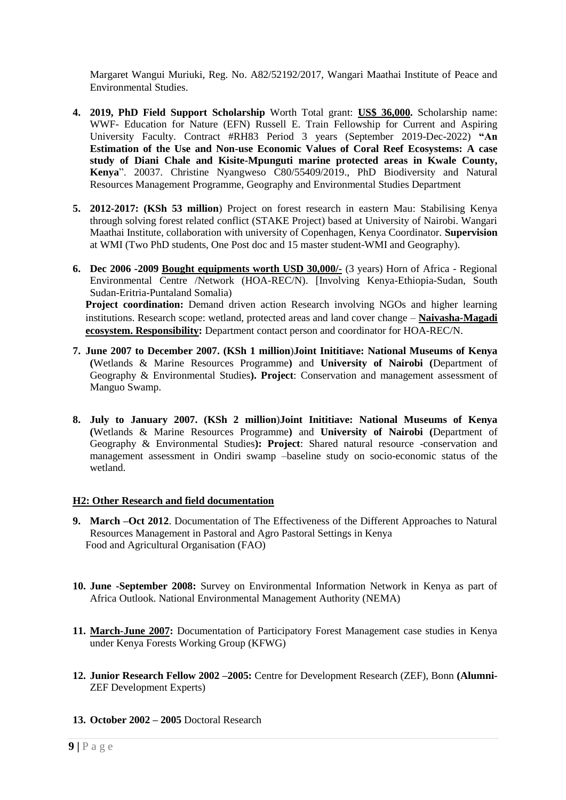Margaret Wangui Muriuki, Reg. No. A82/52192/2017, Wangari Maathai Institute of Peace and Environmental Studies.

- **4. 2019, PhD Field Support Scholarship** Worth Total grant: **US\$ 36,000.** Scholarship name: WWF- Education for Nature (EFN) Russell E. Train Fellowship for Current and Aspiring University Faculty. Contract #RH83 Period 3 years (September 2019-Dec-2022) **"An Estimation of the Use and Non-use Economic Values of Coral Reef Ecosystems: A case study of Diani Chale and Kisite-Mpunguti marine protected areas in Kwale County, Kenya**". 20037. Christine Nyangweso C80/55409/2019., PhD Biodiversity and Natural Resources Management Programme, Geography and Environmental Studies Department
- **5. 2012-2017: (KSh 53 million**) Project on forest research in eastern Mau: Stabilising Kenya through solving forest related conflict (STAKE Project) based at University of Nairobi. Wangari Maathai Institute, collaboration with university of Copenhagen, Kenya Coordinator. **Supervision** at WMI (Two PhD students, One Post doc and 15 master student-WMI and Geography).
- **6. Dec 2006 -2009 Bought equipments worth USD 30,000/-** (3 years) Horn of Africa Regional Environmental Centre /Network (HOA-REC/N). [Involving Kenya-Ethiopia-Sudan, South Sudan-Eritria-Puntaland Somalia) Project coordination: Demand driven action Research involving NGOs and higher learning institutions. Research scope: wetland, protected areas and land cover change – **Naivasha-Magadi ecosystem. Responsibility:** Department contact person and coordinator for HOA-REC/N.
- **7. June 2007 to December 2007. (KSh 1 million**)**Joint Inititiave: National Museums of Kenya (**Wetlands & Marine Resources Programme**)** and **University of Nairobi (**Department of Geography & Environmental Studies**). Project**: Conservation and management assessment of Manguo Swamp.
- **8. July to January 2007. (KSh 2 million**)**Joint Inititiave: National Museums of Kenya (**Wetlands & Marine Resources Programme**)** and **University of Nairobi (**Department of Geography & Environmental Studies**): Project**: Shared natural resource -conservation and management assessment in Ondiri swamp –baseline study on socio-economic status of the wetland.

# **H2: Other Research and field documentation**

- **9. March –Oct 2012**. Documentation of The Effectiveness of the Different Approaches to Natural Resources Management in Pastoral and Agro Pastoral Settings in Kenya Food and Agricultural Organisation (FAO)
- **10. June -September 2008:** Survey on Environmental Information Network in Kenya as part of Africa Outlook. National Environmental Management Authority (NEMA)
- **11. March-June 2007:** Documentation of Participatory Forest Management case studies in Kenya under Kenya Forests Working Group (KFWG)
- **12. Junior Research Fellow 2002 –2005:** Centre for Development Research (ZEF), Bonn **(Alumni-**ZEF Development Experts)
- **13. October 2002 – 2005** Doctoral Research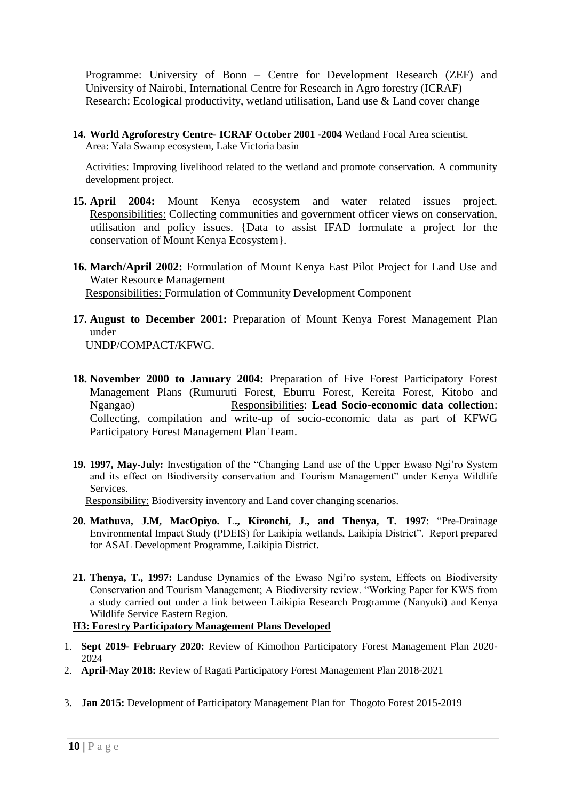Programme: University of Bonn – Centre for Development Research (ZEF) and University of Nairobi, International Centre for Research in Agro forestry (ICRAF) Research: Ecological productivity, wetland utilisation, Land use & Land cover change

**14. World Agroforestry Centre- ICRAF October 2001 -2004** Wetland Focal Area scientist. Area: Yala Swamp ecosystem, Lake Victoria basin

Activities: Improving livelihood related to the wetland and promote conservation. A community development project.

- **15. April 2004:** Mount Kenya ecosystem and water related issues project. Responsibilities: Collecting communities and government officer views on conservation, utilisation and policy issues. {Data to assist IFAD formulate a project for the conservation of Mount Kenya Ecosystem}.
- **16. March/April 2002:** Formulation of Mount Kenya East Pilot Project for Land Use and Water Resource Management Responsibilities: Formulation of Community Development Component
- **17. August to December 2001:** Preparation of Mount Kenya Forest Management Plan under

UNDP/COMPACT/KFWG.

- **18. November 2000 to January 2004:** Preparation of Five Forest Participatory Forest Management Plans (Rumuruti Forest, Eburru Forest, Kereita Forest, Kitobo and Ngangao) Responsibilities: **Lead Socio-economic data collection**: Collecting, compilation and write-up of socio-economic data as part of KFWG Participatory Forest Management Plan Team.
- **19. 1997, May-July:** Investigation of the "Changing Land use of the Upper Ewaso Ngi'ro System and its effect on Biodiversity conservation and Tourism Management" under Kenya Wildlife **Services**

Responsibility: Biodiversity inventory and Land cover changing scenarios.

- **20. Mathuva, J.M, MacOpiyo. L., Kironchi, J., and Thenya, T. 1997**: "Pre-Drainage Environmental Impact Study (PDEIS) for Laikipia wetlands, Laikipia District". Report prepared for ASAL Development Programme, Laikipia District.
- **21. Thenya, T., 1997:** Landuse Dynamics of the Ewaso Ngi'ro system, Effects on Biodiversity Conservation and Tourism Management; A Biodiversity review. "Working Paper for KWS from a study carried out under a link between Laikipia Research Programme (Nanyuki) and Kenya Wildlife Service Eastern Region.

# **H3: Forestry Participatory Management Plans Developed**

- 1. **Sept 2019- February 2020:** Review of Kimothon Participatory Forest Management Plan 2020- 2024
- 2. **April-May 2018:** Review of Ragati Participatory Forest Management Plan 2018-2021
- 3. **Jan 2015:** Development of Participatory Management Plan for Thogoto Forest 2015-2019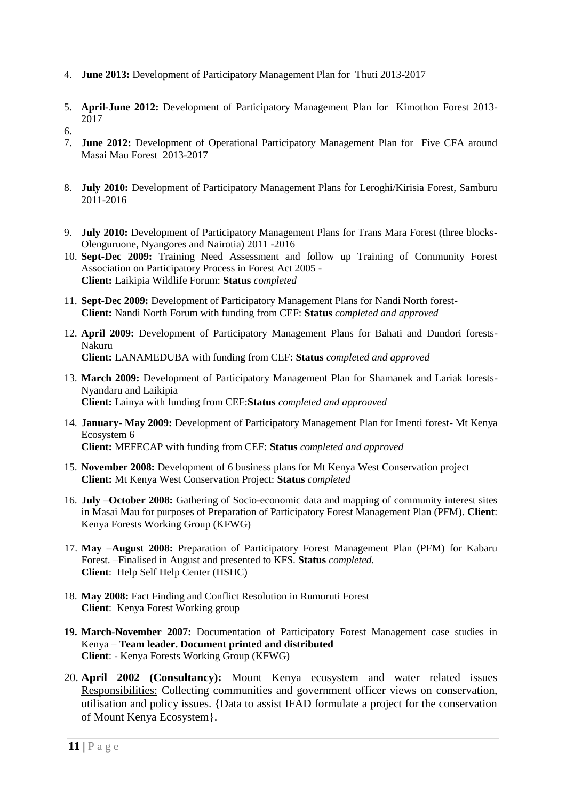- 4. **June 2013:** Development of Participatory Management Plan for Thuti 2013-2017
- 5. **April-June 2012:** Development of Participatory Management Plan for Kimothon Forest 2013- 2017

- 7. **June 2012:** Development of Operational Participatory Management Plan for Five CFA around Masai Mau Forest 2013-2017
- 8. **July 2010:** Development of Participatory Management Plans for Leroghi/Kirisia Forest, Samburu 2011-2016
- 9. **July 2010:** Development of Participatory Management Plans for Trans Mara Forest (three blocks-Olenguruone, Nyangores and Nairotia) 2011 -2016
- 10. **Sept-Dec 2009:** Training Need Assessment and follow up Training of Community Forest Association on Participatory Process in Forest Act 2005 - **Client:** Laikipia Wildlife Forum: **Status** *completed*
- 11. **Sept-Dec 2009:** Development of Participatory Management Plans for Nandi North forest-**Client:** Nandi North Forum with funding from CEF: **Status** *completed and approved*
- 12. **April 2009:** Development of Participatory Management Plans for Bahati and Dundori forests-Nakuru **Client:** LANAMEDUBA with funding from CEF: **Status** *completed and approved*
- 13. **March 2009:** Development of Participatory Management Plan for Shamanek and Lariak forests-Nyandaru and Laikipia **Client:** Lainya with funding from CEF:**Status** *completed and approaved*
- 14. **January- May 2009:** Development of Participatory Management Plan for Imenti forest- Mt Kenya Ecosystem 6 **Client:** MEFECAP with funding from CEF: **Status** *completed and approved*
- 15. **November 2008:** Development of 6 business plans for Mt Kenya West Conservation project **Client:** Mt Kenya West Conservation Project: **Status** *completed*
- 16. **July –October 2008:** Gathering of Socio-economic data and mapping of community interest sites in Masai Mau for purposes of Preparation of Participatory Forest Management Plan (PFM). **Client**: Kenya Forests Working Group (KFWG)
- 17. **May –August 2008:** Preparation of Participatory Forest Management Plan (PFM) for Kabaru Forest. –Finalised in August and presented to KFS. **Status** *completed.*  **Client**: Help Self Help Center (HSHC)
- 18. **May 2008:** Fact Finding and Conflict Resolution in Rumuruti Forest **Client**: Kenya Forest Working group
- **19. March-November 2007:** Documentation of Participatory Forest Management case studies in Kenya – **Team leader. Document printed and distributed Client**: - Kenya Forests Working Group (KFWG)
- 20. **April 2002 (Consultancy):** Mount Kenya ecosystem and water related issues Responsibilities: Collecting communities and government officer views on conservation, utilisation and policy issues. {Data to assist IFAD formulate a project for the conservation of Mount Kenya Ecosystem}.

<sup>6.</sup>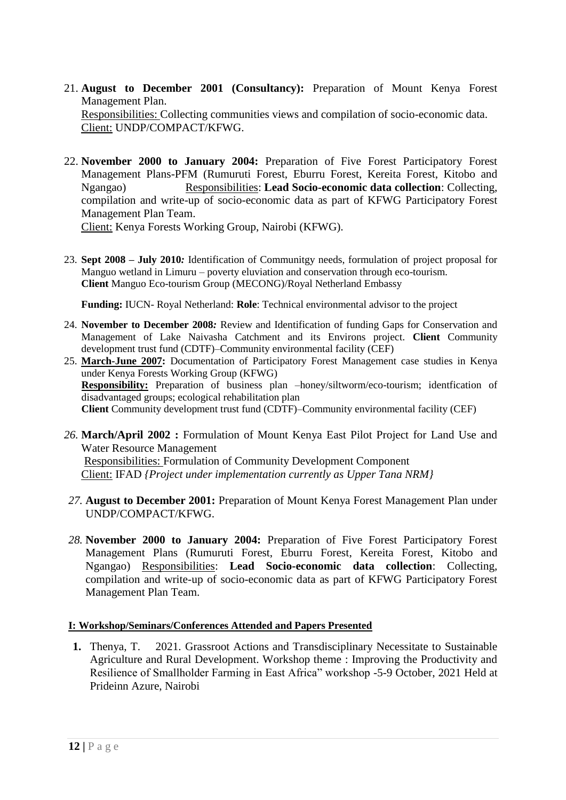- 21. **August to December 2001 (Consultancy):** Preparation of Mount Kenya Forest Management Plan. Responsibilities: Collecting communities views and compilation of socio-economic data. Client: UNDP/COMPACT/KFWG.
- 22. **November 2000 to January 2004:** Preparation of Five Forest Participatory Forest Management Plans-PFM (Rumuruti Forest, Eburru Forest, Kereita Forest, Kitobo and Ngangao) Responsibilities: **Lead Socio-economic data collection**: Collecting, compilation and write-up of socio-economic data as part of KFWG Participatory Forest Management Plan Team. Client: Kenya Forests Working Group, Nairobi (KFWG).
- 23. **Sept 2008 – July 2010***:* Identification of Communitgy needs, formulation of project proposal for Manguo wetland in Limuru – poverty eluviation and conservation through eco-tourism. **Client** Manguo Eco-tourism Group (MECONG)/Royal Netherland Embassy

**Funding:** IUCN- Royal Netherland: **Role**: Technical environmental advisor to the project

- 24. **November to December 2008***:* Review and Identification of funding Gaps for Conservation and Management of Lake Naivasha Catchment and its Environs project. **Client** Community development trust fund (CDTF)–Community environmental facility (CEF)
- 25. **March-June 2007:** Documentation of Participatory Forest Management case studies in Kenya under Kenya Forests Working Group (KFWG) **Responsibility:** Preparation of business plan –honey/siltworm/eco-tourism; identfication of disadvantaged groups; ecological rehabilitation plan **Client** Community development trust fund (CDTF)–Community environmental facility (CEF)
- *26.* **March/April 2002 :** Formulation of Mount Kenya East Pilot Project for Land Use and Water Resource Management Responsibilities: Formulation of Community Development Component Client: IFAD *{Project under implementation currently as Upper Tana NRM}*
- *27.* **August to December 2001:** Preparation of Mount Kenya Forest Management Plan under UNDP/COMPACT/KFWG.
- *28.* **November 2000 to January 2004:** Preparation of Five Forest Participatory Forest Management Plans (Rumuruti Forest, Eburru Forest, Kereita Forest, Kitobo and Ngangao) Responsibilities: **Lead Socio-economic data collection**: Collecting, compilation and write-up of socio-economic data as part of KFWG Participatory Forest Management Plan Team.

# **I: Workshop/Seminars/Conferences Attended and Papers Presented**

**1.** Thenya, T. 2021. Grassroot Actions and Transdisciplinary Necessitate to Sustainable Agriculture and Rural Development. Workshop theme : Improving the Productivity and Resilience of Smallholder Farming in East Africa" workshop -5-9 October, 2021 Held at Prideinn Azure, Nairobi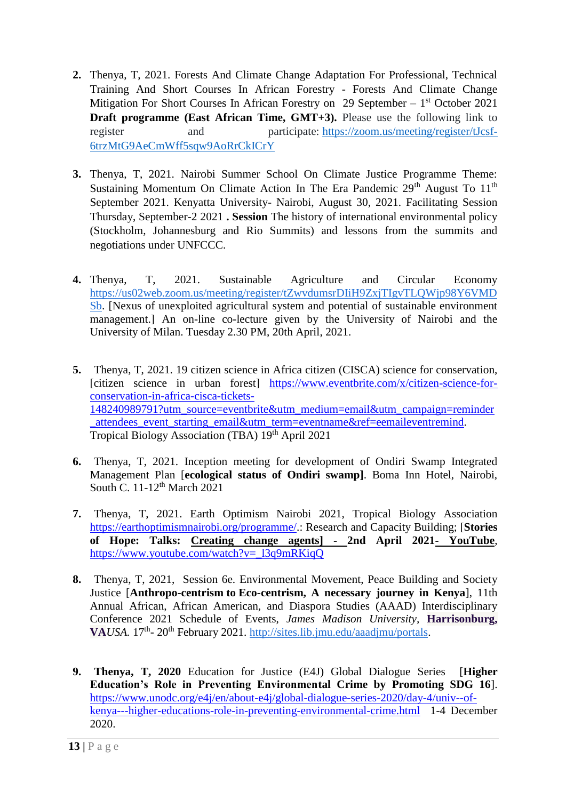- **2.** Thenya, T, 2021. Forests And Climate Change Adaptation For Professional, Technical Training And Short Courses In African Forestry - Forests And Climate Change Mitigation For Short Courses In African Forestry on 29 September  $-1<sup>st</sup>$  October 2021 **Draft programme (East African Time, GMT+3).** Please use the following link to register and participate: [https://zoom.us/meeting/register/tJcsf-](https://zoom.us/meeting/register/tJcsf-6trzMtG9AeCmWff5sqw9AoRrCkICrY)[6trzMtG9AeCmWff5sqw9AoRrCkICrY](https://zoom.us/meeting/register/tJcsf-6trzMtG9AeCmWff5sqw9AoRrCkICrY)
- **3.** Thenya, T, 2021. Nairobi Summer School On Climate Justice Programme Theme: Sustaining Momentum On Climate Action In The Era Pandemic  $29<sup>th</sup>$  August To  $11<sup>th</sup>$ September 2021. Kenyatta University- Nairobi, August 30, 2021. Facilitating Session Thursday, September-2 2021 **. Session** The history of international environmental policy (Stockholm, Johannesburg and Rio Summits) and lessons from the summits and negotiations under UNFCCC.
- **4.** Thenya, T, 2021. Sustainable Agriculture and Circular Economy [https://us02web.zoom.us/meeting/register/tZwvdumsrDIiH9ZxjTIgvTLQWjp98Y6VMD](https://us02web.zoom.us/meeting/register/tZwvdumsrDIiH9ZxjTIgvTLQWjp98Y6VMDSb) [Sb.](https://us02web.zoom.us/meeting/register/tZwvdumsrDIiH9ZxjTIgvTLQWjp98Y6VMDSb) [Nexus of unexploited agricultural system and potential of sustainable environment management.] An on-line co-lecture given by the University of Nairobi and the University of Milan. Tuesday 2.30 PM, 20th April, 2021.
- **5.** Thenya, T, 2021. 19 citizen science in Africa citizen (CISCA) science for conservation, [citizen science in urban forest] [https://www.eventbrite.com/x/citizen-science-for](https://www.eventbrite.com/x/citizen-science-for-conservation-in-africa-cisca-tickets-148240989791?utm_source=eventbrite&utm_medium=email&utm_campaign=reminder_attendees_event_starting_email&utm_term=eventname&ref=eemaileventremind)[conservation-in-africa-cisca-tickets-](https://www.eventbrite.com/x/citizen-science-for-conservation-in-africa-cisca-tickets-148240989791?utm_source=eventbrite&utm_medium=email&utm_campaign=reminder_attendees_event_starting_email&utm_term=eventname&ref=eemaileventremind)[148240989791?utm\\_source=eventbrite&utm\\_medium=email&utm\\_campaign=reminder](https://www.eventbrite.com/x/citizen-science-for-conservation-in-africa-cisca-tickets-148240989791?utm_source=eventbrite&utm_medium=email&utm_campaign=reminder_attendees_event_starting_email&utm_term=eventname&ref=eemaileventremind) [\\_attendees\\_event\\_starting\\_email&utm\\_term=eventname&ref=eemaileventremind.](https://www.eventbrite.com/x/citizen-science-for-conservation-in-africa-cisca-tickets-148240989791?utm_source=eventbrite&utm_medium=email&utm_campaign=reminder_attendees_event_starting_email&utm_term=eventname&ref=eemaileventremind) Tropical Biology Association (TBA) 19<sup>th</sup> April 2021
- **6.** Thenya, T, 2021. Inception meeting for development of Ondiri Swamp Integrated Management Plan [**ecological status of Ondiri swamp]**. Boma Inn Hotel, Nairobi, South C. 11-12th March 2021
- **7.** Thenya, T, 2021. Earth Optimism Nairobi 2021, Tropical Biology Association [https://earthoptimismnairobi.org/programme/.](https://earthoptimismnairobi.org/programme/): Research and Capacity Building; [**Stories of Hope: Talks: [Creating change agents\] -](https://www.youtube.com/watch?v=_l3q9mRKiqQ) 2nd April 2021- YouTube**, [https://www.youtube.com/watch?v=\\_l3q9mRKiqQ](https://www.youtube.com/watch?v=_l3q9mRKiqQ)
- **8.** Thenya, T, 2021, Session 6e. Environmental Movement, Peace Building and Society Justice [**Anthropo-centrism to Eco-centrism, A necessary journey in Kenya**], 11th Annual African, African American, and Diaspora Studies (AAAD) Interdisciplinary Conference 2021 Schedule of Events, *James Madison University,* **Harrisonburg,**  VA*USA*. 17<sup>th</sup>-20<sup>th</sup> February 2021. [http://sites.lib.jmu.edu/aaadjmu/portals.](http://sites.lib.jmu.edu/aaadjmu/portals)
- **9. Thenya, T, 2020** Education for Justice (E4J) Global Dialogue Series [**Higher Education's Role in Preventing Environmental Crime by Promoting SDG 16**]. [https://www.unodc.org/e4j/en/about-e4j/global-dialogue-series-2020/day-4/univ--of](https://www.unodc.org/e4j/en/about-e4j/global-dialogue-series-2020/day-4/univ--of-kenya---higher-educations-role-in-preventing-environmental-crime.html)[kenya---higher-educations-role-in-preventing-environmental-crime.html](https://www.unodc.org/e4j/en/about-e4j/global-dialogue-series-2020/day-4/univ--of-kenya---higher-educations-role-in-preventing-environmental-crime.html) 1-4 December 2020.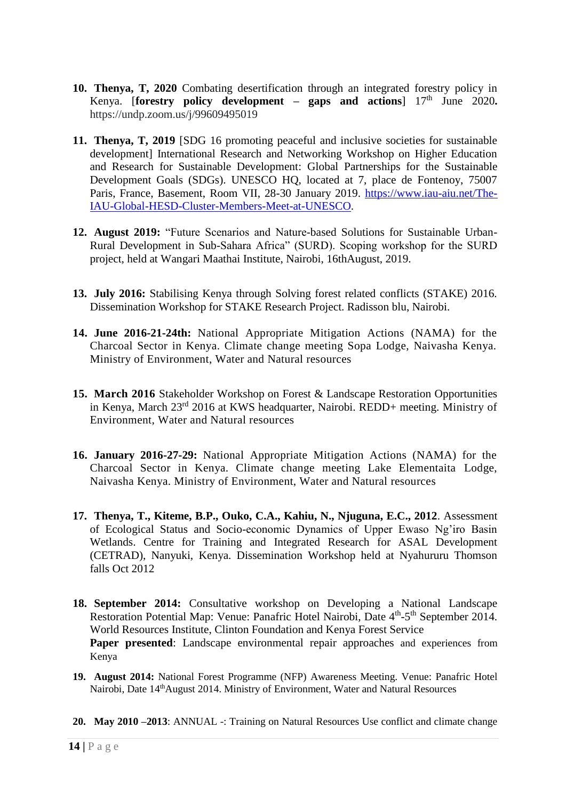- **10. Thenya, T, 2020** Combating desertification through an integrated forestry policy in Kenya. [**forestry** policy development – gaps and actions]  $17<sup>th</sup>$  June 2020. https://undp.zoom.us/j/99609495019
- **11. Thenya, T, 2019** [SDG 16 promoting peaceful and inclusive societies for sustainable development] International Research and Networking Workshop on Higher Education and Research for Sustainable Development: Global Partnerships for the Sustainable Development Goals (SDGs). UNESCO HQ, located at 7, place de Fontenoy, 75007 Paris, France, Basement, Room VII, 28-30 January 2019. [https://www.iau-aiu.net/The-](https://www.iau-aiu.net/The-IAU-Global-HESD-Cluster-Members-Meet-at-UNESCO)[IAU-Global-HESD-Cluster-Members-Meet-at-UNESCO.](https://www.iau-aiu.net/The-IAU-Global-HESD-Cluster-Members-Meet-at-UNESCO)
- **12. August 2019:** "Future Scenarios and Nature-based Solutions for Sustainable Urban-Rural Development in Sub-Sahara Africa" (SURD). Scoping workshop for the SURD project, held at Wangari Maathai Institute, Nairobi, 16thAugust, 2019.
- **13. July 2016:** Stabilising Kenya through Solving forest related conflicts (STAKE) 2016. Dissemination Workshop for STAKE Research Project. Radisson blu, Nairobi.
- **14. June 2016-21-24th:** National Appropriate Mitigation Actions (NAMA) for the Charcoal Sector in Kenya. Climate change meeting Sopa Lodge, Naivasha Kenya. Ministry of Environment, Water and Natural resources
- **15. March 2016** Stakeholder Workshop on Forest & Landscape Restoration Opportunities in Kenya, March 23rd 2016 at KWS headquarter, Nairobi. REDD+ meeting. Ministry of Environment, Water and Natural resources
- **16. January 2016-27-29:** National Appropriate Mitigation Actions (NAMA) for the Charcoal Sector in Kenya. Climate change meeting Lake Elementaita Lodge, Naivasha Kenya. Ministry of Environment, Water and Natural resources
- **17. Thenya, T., Kiteme, B.P., Ouko, C.A., Kahiu, N., Njuguna, E.C., 2012**. Assessment of Ecological Status and Socio-economic Dynamics of Upper Ewaso Ng'iro Basin Wetlands. Centre for Training and Integrated Research for ASAL Development (CETRAD), Nanyuki, Kenya. Dissemination Workshop held at Nyahururu Thomson falls Oct 2012
- **18. September 2014:** Consultative workshop on Developing a National Landscape Restoration Potential Map: Venue: Panafric Hotel Nairobi, Date 4<sup>th</sup>-5<sup>th</sup> September 2014. World Resources Institute, Clinton Foundation and Kenya Forest Service **Paper presented**: Landscape environmental repair approaches and experiences from Kenya
- **19. August 2014:** National Forest Programme (NFP) Awareness Meeting. Venue: Panafric Hotel Nairobi, Date 14thAugust 2014. Ministry of Environment, Water and Natural Resources
- **20. May 2010 –2013**: ANNUAL -: Training on Natural Resources Use conflict and climate change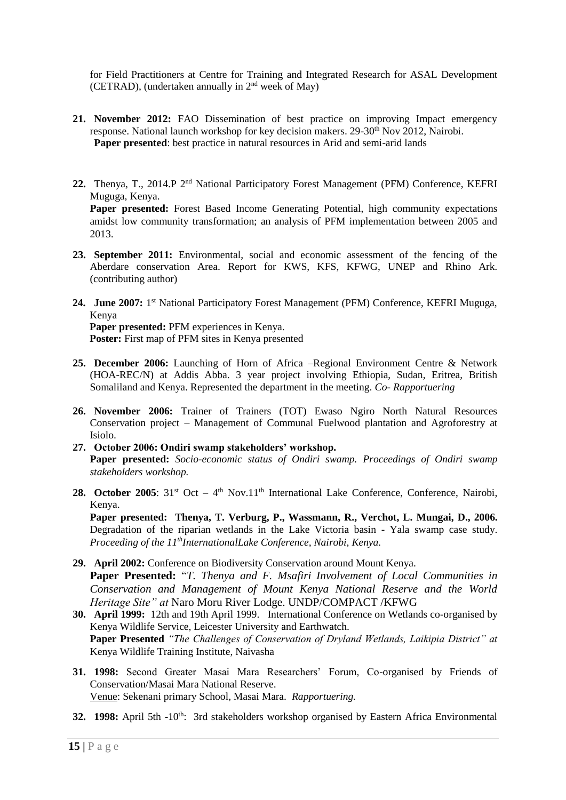for Field Practitioners at Centre for Training and Integrated Research for ASAL Development (CETRAD), (undertaken annually in  $2<sup>nd</sup>$  week of May)

- **21. November 2012:** FAO Dissemination of best practice on improving Impact emergency response. National launch workshop for key decision makers. 29-30<sup>th</sup> Nov 2012, Nairobi. **Paper presented**: best practice in natural resources in Arid and semi-arid lands
- 22. Thenya, T., 2014.P 2<sup>nd</sup> National Participatory Forest Management (PFM) Conference, KEFRI Muguga, Kenya. Paper presented: Forest Based Income Generating Potential, high community expectations amidst low community transformation; an analysis of PFM implementation between 2005 and 2013.
- **23. September 2011:** Environmental, social and economic assessment of the fencing of the Aberdare conservation Area. Report for KWS, KFS, KFWG, UNEP and Rhino Ark. (contributing author)
- 24. June 2007: 1<sup>st</sup> National Participatory Forest Management (PFM) Conference, KEFRI Muguga, Kenya **Paper presented:** PFM experiences in Kenya. Poster: First map of PFM sites in Kenya presented
- **25. December 2006:** Launching of Horn of Africa –Regional Environment Centre & Network (HOA-REC/N) at Addis Abba. 3 year project involving Ethiopia, Sudan, Eritrea, British Somaliland and Kenya. Represented the department in the meeting. *Co- Rapportuering*
- **26. November 2006:** Trainer of Trainers (TOT) Ewaso Ngiro North Natural Resources Conservation project – Management of Communal Fuelwood plantation and Agroforestry at Isiolo.
- **27. October 2006: Ondiri swamp stakeholders' workshop. Paper presented:** *Socio-economic status of Ondiri swamp. Proceedings of Ondiri swamp stakeholders workshop.*
- 28. October 2005: 31<sup>st</sup> Oct 4<sup>th</sup> Nov.11<sup>th</sup> International Lake Conference, Conference, Nairobi, Kenya.

**Paper presented: Thenya, T. Verburg, P., Wassmann, R., Verchot, L. Mungai, D., 2006.** Degradation of the riparian wetlands in the Lake Victoria basin - Yala swamp case study. *Proceeding of the 11thInternationalLake Conference, Nairobi, Kenya.* 

- **29. April 2002:** Conference on Biodiversity Conservation around Mount Kenya. **Paper Presented:** "*T. Thenya and F. Msafiri Involvement of Local Communities in Conservation and Management of Mount Kenya National Reserve and the World Heritage Site" at* Naro Moru River Lodge. UNDP/COMPACT /KFWG
- **30. April 1999:** 12th and 19th April 1999. International Conference on Wetlands co-organised by Kenya Wildlife Service, Leicester University and Earthwatch. **Paper Presented** *"The Challenges of Conservation of Dryland Wetlands, Laikipia District" at*  Kenya Wildlife Training Institute, Naivasha
- **31. 1998:** Second Greater Masai Mara Researchers' Forum, Co-organised by Friends of Conservation/Masai Mara National Reserve. Venue: Sekenani primary School, Masai Mara. *Rapportuering.*
- **32. 1998:** April 5th -10<sup>th</sup>: 3rd stakeholders workshop organised by Eastern Africa Environmental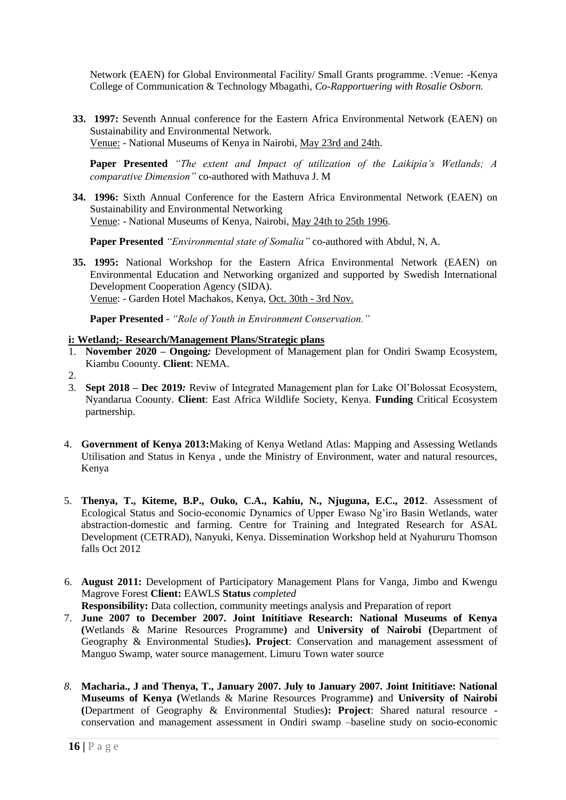Network (EAEN) for Global Environmental Facility/ Small Grants programme. :Venue: -Kenya College of Communication & Technology Mbagathi, *Co-Rapportuering with Rosalie Osborn.*

**33. 1997:** Seventh Annual conference for the Eastern Africa Environmental Network (EAEN) on Sustainability and Environmental Network. Venue: - National Museums of Kenya in Nairobi, May 23rd and 24th.

**Paper Presented** *"The extent and Impact of utilization of the Laikipia's Wetlands; A comparative Dimension"* co-authored with Mathuva J. M

**34. 1996:** Sixth Annual Conference for the Eastern Africa Environmental Network (EAEN) on Sustainability and Environmental Networking Venue: - National Museums of Kenya, Nairobi, May 24th to 25th 1996.

**Paper Presented** *"Environmental state of Somalia"* co-authored with Abdul, N, A.

**35. 1995:** National Workshop for the Eastern Africa Environmental Network (EAEN) on Environmental Education and Networking organized and supported by Swedish International Development Cooperation Agency (SIDA). Venue: - Garden Hotel Machakos, Kenya, Oct. 30th - 3rd Nov.

**Paper Presented** - *"Role of Youth in Environment Conservation."*

### **i: Wetland;- Research/Management Plans/Strategic plans**

- 1. **November 2020 – Ongoing***:* Development of Management plan for Ondiri Swamp Ecosystem, Kiambu Coounty. **Client**: NEMA.
- 2.
- 3. **Sept 2018 – Dec 2019***:* Reviw of Integrated Management plan for Lake Ol'Bolossat Ecosystem, Nyandarua Coounty. **Client**: East Africa Wildlife Society, Kenya. **Funding** Critical Ecosystem partnership.
- 4. **Government of Kenya 2013:**Making of Kenya Wetland Atlas: Mapping and Assessing Wetlands Utilisation and Status in Kenya , unde the Ministry of Environment, water and natural resources, Kenya
- 5. **Thenya, T., Kiteme, B.P., Ouko, C.A., Kahiu, N., Njuguna, E.C., 2012**. Assessment of Ecological Status and Socio-economic Dynamics of Upper Ewaso Ng'iro Basin Wetlands, water abstraction-domestic and farming. Centre for Training and Integrated Research for ASAL Development (CETRAD), Nanyuki, Kenya. Dissemination Workshop held at Nyahururu Thomson falls Oct 2012
- 6. **August 2011:** Development of Participatory Management Plans for Vanga, Jimbo and Kwengu Magrove Forest **Client:** EAWLS **Status** *completed*

**Responsibility:** Data collection, community meetings analysis and Preparation of report

- 7. **June 2007 to December 2007. Joint Inititiave Research: National Museums of Kenya (**Wetlands & Marine Resources Programme**)** and **University of Nairobi (**Department of Geography & Environmental Studies**). Project**: Conservation and management assessment of Manguo Swamp, water source management. Limuru Town water source
- *8.* **Macharia., J and Thenya, T., January 2007. July to January 2007. Joint Inititiave: National Museums of Kenya (**Wetlands & Marine Resources Programme**)** and **University of Nairobi (**Department of Geography & Environmental Studies**): Project**: Shared natural resource conservation and management assessment in Ondiri swamp –baseline study on socio-economic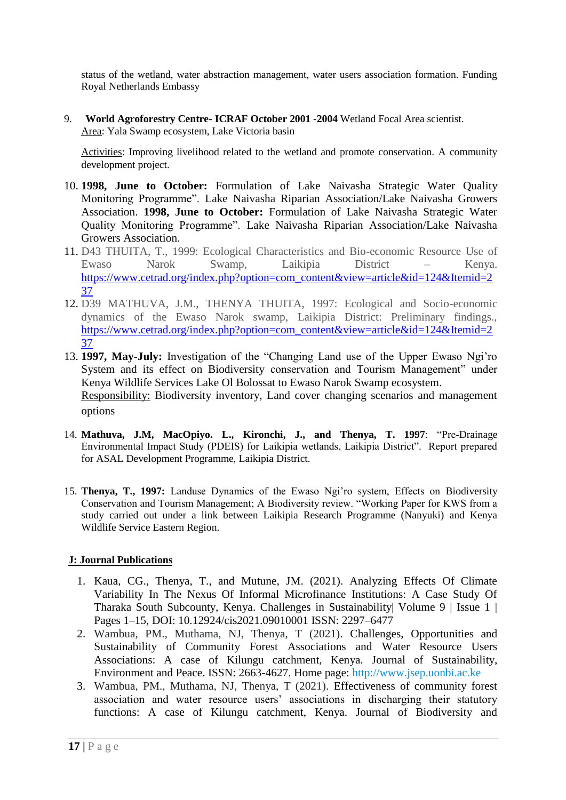status of the wetland, water abstraction management, water users association formation. Funding Royal Netherlands Embassy

9. **World Agroforestry Centre- ICRAF October 2001 -2004** Wetland Focal Area scientist. Area: Yala Swamp ecosystem, Lake Victoria basin

Activities: Improving livelihood related to the wetland and promote conservation. A community development project.

- 10. **1998, June to October:** Formulation of Lake Naivasha Strategic Water Quality Monitoring Programme". Lake Naivasha Riparian Association/Lake Naivasha Growers Association. **1998, June to October:** Formulation of Lake Naivasha Strategic Water Quality Monitoring Programme". Lake Naivasha Riparian Association/Lake Naivasha Growers Association.
- 11. D43 THUITA, T., 1999: Ecological Characteristics and Bio-economic Resource Use of Ewaso Narok Swamp, Laikipia District – Kenya. [https://www.cetrad.org/index.php?option=com\\_content&view=article&id=124&Itemid=2](https://www.cetrad.org/index.php?option=com_content&view=article&id=124&Itemid=237) [37](https://www.cetrad.org/index.php?option=com_content&view=article&id=124&Itemid=237)
- 12. D39 MATHUVA, J.M., THENYA THUITA, 1997: Ecological and Socio-economic dynamics of the Ewaso Narok swamp, Laikipia District: Preliminary findings., [https://www.cetrad.org/index.php?option=com\\_content&view=article&id=124&Itemid=2](https://www.cetrad.org/index.php?option=com_content&view=article&id=124&Itemid=237) [37](https://www.cetrad.org/index.php?option=com_content&view=article&id=124&Itemid=237)
- 13. **1997, May-July:** Investigation of the "Changing Land use of the Upper Ewaso Ngi'ro System and its effect on Biodiversity conservation and Tourism Management" under Kenya Wildlife Services Lake Ol Bolossat to Ewaso Narok Swamp ecosystem. Responsibility: Biodiversity inventory, Land cover changing scenarios and management options
- 14. **Mathuva, J.M, MacOpiyo. L., Kironchi, J., and Thenya, T. 1997**: "Pre-Drainage Environmental Impact Study (PDEIS) for Laikipia wetlands, Laikipia District". Report prepared for ASAL Development Programme, Laikipia District.
- 15. **Thenya, T., 1997:** Landuse Dynamics of the Ewaso Ngi'ro system, Effects on Biodiversity Conservation and Tourism Management; A Biodiversity review. "Working Paper for KWS from a study carried out under a link between Laikipia Research Programme (Nanyuki) and Kenya Wildlife Service Eastern Region.

# **J: Journal Publications**

- 1. Kaua, CG., Thenya, T., and Mutune, JM. (2021). Analyzing Effects Of Climate Variability In The Nexus Of Informal Microfinance Institutions: A Case Study Of Tharaka South Subcounty, Kenya. Challenges in Sustainability| Volume 9 | Issue 1 | Pages 1–15, DOI: 10.12924/cis2021.09010001 ISSN: 2297–6477
- 2. Wambua, PM., Muthama, NJ, Thenya, T (2021). Challenges, Opportunities and Sustainability of Community Forest Associations and Water Resource Users Associations: A case of Kilungu catchment, Kenya. Journal of Sustainability, Environment and Peace. ISSN: 2663-4627. Home page: http://www.jsep.uonbi.ac.ke
- 3. Wambua, PM., Muthama, NJ, Thenya, T (2021). Effectiveness of community forest association and water resource users' associations in discharging their statutory functions: A case of Kilungu catchment, Kenya. Journal of Biodiversity and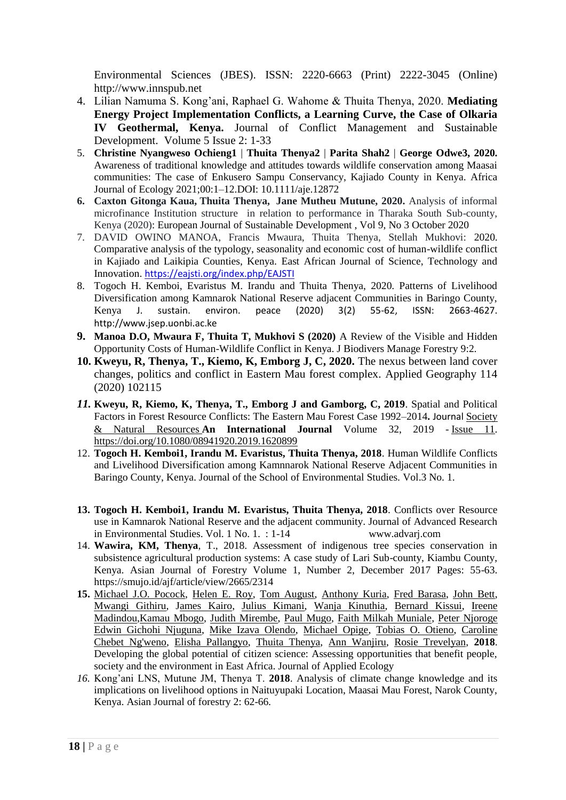Environmental Sciences (JBES). ISSN: 2220-6663 (Print) 2222-3045 (Online) http://www.innspub.net

- 4. Lilian Namuma S. Kong'ani, Raphael G. Wahome & Thuita Thenya, 2020. **Mediating Energy Project Implementation Conflicts, a Learning Curve, the Case of Olkaria IV Geothermal, Kenya.** Journal of Conflict Management and Sustainable Development. Volume 5 Issue 2: 1-33
- 5. **Christine Nyangweso Ochieng1** | **Thuita Thenya2** | **Parita Shah2** | **George Odwe3, 2020.**  Awareness of traditional knowledge and attitudes towards wildlife conservation among Maasai communities: The case of Enkusero Sampu Conservancy, Kajiado County in Kenya. Africa Journal of Ecology 2021;00:1–12.DOI: 10.1111/aje.12872
- **6. Caxton Gitonga Kaua, Thuita Thenya, Jane Mutheu Mutune, 2020.** Analysis of informal microfinance Institution structure in relation to performance in Tharaka South Sub-county, Kenya (2020): European Journal of Sustainable Development , Vol 9, No 3 October 2020
- 7. DAVID OWINO MANOA, Francis Mwaura, Thuita Thenya, Stellah Mukhovi: 2020. Comparative analysis of the typology, seasonality and economic cost of human-wildlife conflict in Kajiado and Laikipia Counties, Kenya. East African Journal of Science, Technology and Innovation. <https://eajsti.org/index.php/EAJSTI>
- 8. Togoch H. Kemboi, Evaristus M. Irandu and Thuita Thenya, 2020. Patterns of Livelihood Diversification among Kamnarok National Reserve adjacent Communities in Baringo County, Kenya J. sustain. environ. peace (2020) 3(2) 55-62, ISSN: 2663-4627. http://www.jsep.uonbi.ac.ke
- **9. Manoa D.O, Mwaura F, Thuita T, Mukhovi S (2020)** A Review of the Visible and Hidden Opportunity Costs of Human-Wildlife Conflict in Kenya. J Biodivers Manage Forestry 9:2.
- **10. Kweyu, R, Thenya, T., Kiemo, K, Emborg J, C, 2020.** The nexus between land cover changes, politics and conflict in Eastern Mau forest complex. Applied Geography 114 (2020) 102115
- *11.* **Kweyu, R, Kiemo, K, Thenya, T., Emborg J and Gamborg, C, 2019**. Spatial and Political Factors in Forest Resource Conflicts: The Eastern Mau Forest Case 1992–2014**.** Journal [Society](https://www.tandfonline.com/toc/usnr20/current)  [& Natural Resources](https://www.tandfonline.com/toc/usnr20/current) **An International Journal** Volume 32, 2019 - [Issue 11.](https://www.tandfonline.com/toc/usnr20/32/11) <https://doi.org/10.1080/08941920.2019.1620899>
- 12. **Togoch H. Kemboi1, Irandu M. Evaristus, Thuita Thenya, 2018**. Human Wildlife Conflicts and Livelihood Diversification among Kamnnarok National Reserve Adjacent Communities in Baringo County, Kenya. Journal of the School of Environmental Studies. Vol.3 No. 1.
- **13. Togoch H. Kemboi1, Irandu M. Evaristus, Thuita Thenya, 2018**. Conflicts over Resource use in Kamnarok National Reserve and the adjacent community. Journal of Advanced Research in Environmental Studies. Vol. 1 No. 1. : 1-14 www.advarj.com
- 14. **Wawira, KM, Thenya**, T., 2018. Assessment of indigenous tree species conservation in subsistence agricultural production systems: A case study of Lari Sub-county, Kiambu County, Kenya. Asian Journal of Forestry Volume 1, Number 2, December 2017 Pages: 55-63. https://smujo.id/ajf/article/view/2665/2314
- **15.** [Michael J.O. Pocock,](https://besjournals.onlinelibrary.wiley.com/action/doSearch?ContribAuthorStored=Pocock%2C+Michael+JO) [Helen E. Roy,](https://besjournals.onlinelibrary.wiley.com/action/doSearch?ContribAuthorStored=Roy%2C+Helen+E) [Tom August,](https://besjournals.onlinelibrary.wiley.com/action/doSearch?ContribAuthorStored=August%2C+Tom) [Anthony Kuria,](https://besjournals.onlinelibrary.wiley.com/action/doSearch?ContribAuthorStored=Kuria%2C+Anthony) [Fred Barasa,](https://besjournals.onlinelibrary.wiley.com/action/doSearch?ContribAuthorStored=Barasa%2C+Fred) [John Bett,](https://besjournals.onlinelibrary.wiley.com/action/doSearch?ContribAuthorStored=Bett%2C+John) [Mwangi Githiru,](https://besjournals.onlinelibrary.wiley.com/action/doSearch?ContribAuthorStored=Githiru%2C+Mwangi) [James Kairo,](https://besjournals.onlinelibrary.wiley.com/action/doSearch?ContribAuthorStored=Kairo%2C+Ames) [Julius Kimani,](https://besjournals.onlinelibrary.wiley.com/action/doSearch?ContribAuthorStored=Kimani%2C+Julius) [Wanja Kinuthia,](https://besjournals.onlinelibrary.wiley.com/action/doSearch?ContribAuthorStored=Kinuthia%2C+Wanja) [Bernard Kissui,](https://besjournals.onlinelibrary.wiley.com/action/doSearch?ContribAuthorStored=Kissui%2C+Bernard) [Ireene](https://besjournals.onlinelibrary.wiley.com/action/doSearch?ContribAuthorStored=Madindou%2C+Ireene)  [Madindou](https://besjournals.onlinelibrary.wiley.com/action/doSearch?ContribAuthorStored=Madindou%2C+Ireene)[,Kamau Mbogo,](https://besjournals.onlinelibrary.wiley.com/action/doSearch?ContribAuthorStored=Mbogo%2C+Kamau) [Judith Mirembe,](https://besjournals.onlinelibrary.wiley.com/action/doSearch?ContribAuthorStored=Mirembe%2C+Judith) [Paul Mugo,](https://besjournals.onlinelibrary.wiley.com/action/doSearch?ContribAuthorStored=Mugo%2C+Paul) [Faith Milkah Muniale,](https://besjournals.onlinelibrary.wiley.com/action/doSearch?ContribAuthorStored=Muniale%2C+Faith+Milkah) [Peter Njoroge](https://besjournals.onlinelibrary.wiley.com/action/doSearch?ContribAuthorStored=Njoroge%2C+Peter) [Edwin Gichohi Njuguna,](https://besjournals.onlinelibrary.wiley.com/action/doSearch?ContribAuthorStored=Njuguna%2C+Edwin+Gichohi) [Mike Izava Olendo,](https://besjournals.onlinelibrary.wiley.com/action/doSearch?ContribAuthorStored=Olendo%2C+Mike+Izava) [Michael Opige,](https://besjournals.onlinelibrary.wiley.com/action/doSearch?ContribAuthorStored=Opige%2C+Michael) [Tobias O. Otieno,](https://besjournals.onlinelibrary.wiley.com/action/doSearch?ContribAuthorStored=Otieno%2C+Tobias+O) [Caroline](https://besjournals.onlinelibrary.wiley.com/action/doSearch?ContribAuthorStored=Ng%27weno%2C+Caroline+Chebet)  [Chebet Ng'weno,](https://besjournals.onlinelibrary.wiley.com/action/doSearch?ContribAuthorStored=Ng%27weno%2C+Caroline+Chebet) [Elisha Pallangyo,](https://besjournals.onlinelibrary.wiley.com/action/doSearch?ContribAuthorStored=Pallangyo%2C+Elisha) [Thuita Thenya,](https://besjournals.onlinelibrary.wiley.com/action/doSearch?ContribAuthorStored=Thenya%2C+Thuita) [Ann Wanjiru,](https://besjournals.onlinelibrary.wiley.com/action/doSearch?ContribAuthorStored=Wanjiru%2C+Ann) [Rosie Trevelyan,](https://besjournals.onlinelibrary.wiley.com/action/doSearch?ContribAuthorStored=Trevelyan%2C+Rosie) **2018**. Developing the global potential of citizen science: Assessing opportunities that benefit people, society and the environment in East Africa. Journal of Applied Ecology
- *16.* Kong'ani LNS, Mutune JM, Thenya T. **2018**. Analysis of climate change knowledge and its implications on livelihood options in Naituyupaki Location, Maasai Mau Forest, Narok County, Kenya. Asian Journal of forestry 2: 62-66*.*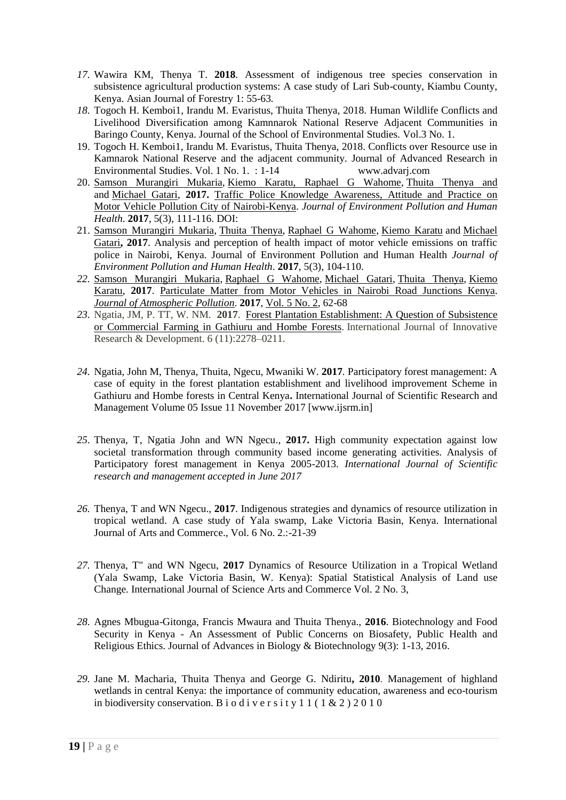- *17.* Wawira KM, Thenya T. **2018**. Assessment of indigenous tree species conservation in subsistence agricultural production systems: A case study of Lari Sub-county, Kiambu County, Kenya. Asian Journal of Forestry 1: 55-63*.*
- *18.* Togoch H. Kemboi1, Irandu M. Evaristus, Thuita Thenya, 2018. Human Wildlife Conflicts and Livelihood Diversification among Kamnnarok National Reserve Adjacent Communities in Baringo County, Kenya. Journal of the School of Environmental Studies. Vol.3 No. 1.
- 19. Togoch H. Kemboi1, Irandu M. Evaristus, Thuita Thenya, 2018. Conflicts over Resource use in Kamnarok National Reserve and the adjacent community. Journal of Advanced Research in Environmental Studies. Vol. 1 No. 1. : 1-14 www.advarj.com
- 20. [Samson Murangiri](http://www.sciepub.com/portal/search?q=Samson%20Murangiri%20Mukaria) Mukaria, [Kiemo Karatu, Raphael G Wahome,](http://www.sciepub.com/portal/search?q=Kiemo%20Karatu%20Raphael%20G%20Wahome) [Thuita Thenya and](http://www.sciepub.com/portal/search?q=Thuita%20Thenya)  and [Michael Gatari,](http://www.sciepub.com/portal/search?q=Michael%20Gatari) **2017.** [Traffic Police Knowledge Awareness, Attitude and Practice on](http://www.sciepub.com/JEPHH/abstract/8286)  [Motor Vehicle Pollution City of Nairobi-Kenya.](http://www.sciepub.com/JEPHH/abstract/8286) *Journal of Environment Pollution and Human Health*. **2017**, 5(3), 111-116. DOI:
- 21. [Samson Murangiri Mukaria,](http://www.sciepub.com/portal/search?q=Samson%20Murangiri%20Mukaria) [Thuita Thenya,](http://www.sciepub.com/portal/search?q=Thuita%20Thenya) [Raphael G Wahome,](http://www.sciepub.com/portal/search?q=Raphael%20G%20Wahome) [Kiemo Karatu](http://www.sciepub.com/portal/search?q=Kiemo%20Karatu) and [Michael](http://www.sciepub.com/portal/search?q=Michael%20Gatari)  [Gatari](http://www.sciepub.com/portal/search?q=Michael%20Gatari)**, 2017**. Analysis and perception of health impact of motor vehicle emissions on traffic police in Nairobi, Kenya. Journal of Environment Pollution and Human Health *Journal of Environment Pollution and Human Health*. **2017**, 5(3), 104-110.
- *22.* Samson [Murangiri](http://www.sciepub.com/portal/search?q=Samson%20%20Murangiri%20Mukaria) Mukaria, Raphael G [Wahome,](http://www.sciepub.com/portal/search?q=Raphael%20%20G%20Wahome) [Michael](http://www.sciepub.com/portal/search?q=Michael%20%20Gatari) Gatari, Thuita [Thenya,](http://www.sciepub.com/portal/search?q=Thuita%20%20Thenya) [Kiemo](http://www.sciepub.com/portal/search?q=Kiemo%20%20Karatu) [Karatu,](http://www.sciepub.com/portal/search?q=Kiemo%20%20Karatu) **2017**. [Particulate](http://pubs.sciepub.com/jap/5/2/4/index.html) Matter from Motor Vehicles in Nairobi Road Junctions Kenya. *Journal of [Atmospheric](http://www.sciepub.com/journal/JAP) Pollution*. **2017**, [Vol.](http://www.sciepub.com/JAP/content/5/2) 5 No. 2, 62-68
- *23.* Ngatia, JM, P. TT, W. NM. **2017**. Forest Plantation [Establishment:](https://profiles.uonbi.ac.ke/tthenya/publications/forest-plantation-establishment-question-subsistence-or-commercial-farming-gath) A Question of Subsistence or [Commercial](https://profiles.uonbi.ac.ke/tthenya/publications/forest-plantation-establishment-question-subsistence-or-commercial-farming-gath) Farming in Gathiuru and Hombe Forests. International Journal of Innovative Research & Development. 6 (11):2278–0211.
- *24.* Ngatia, John M, Thenya, Thuita, Ngecu, Mwaniki W. **2017***.* Participatory forest management: A case of equity in the forest plantation establishment and livelihood improvement Scheme in Gathiuru and Hombe forests in Central Kenya**.** International Journal of Scientific Research and Management Volume 05 Issue 11 November 2017 [www.ijsrm.in]
- *25.* Thenya, T, Ngatia John and WN Ngecu., **2017.** High community expectation against low societal transformation through community based income generating activities. Analysis of Participatory forest management in Kenya 2005-2013. *International Journal of Scientific research and management accepted in June 2017*
- *26.* Thenya, T and WN Ngecu., **2017**. Indigenous strategies and dynamics of resource utilization in tropical wetland. A case study of Yala swamp, Lake Victoria Basin, Kenya. International Journal of Arts and Commerce., Vol. 6 No. 2.:-21-39
- *27.* Thenya, T" and WN Ngecu, **2017** Dynamics of Resource Utilization in a Tropical Wetland (Yala Swamp, Lake Victoria Basin, W. Kenya): Spatial Statistical Analysis of Land use Change*.* International Journal of Science Arts and Commerce Vol. 2 No. 3,
- *28.* Agnes Mbugua-Gitonga, Francis Mwaura and Thuita Thenya., **2016**. Biotechnology and Food Security in Kenya - An Assessment of Public Concerns on Biosafety, Public Health and Religious Ethics. Journal of Advances in Biology & Biotechnology 9(3): 1-13, 2016.
- *29.* Jane M. Macharia, Thuita Thenya and George G. Ndiritu**, 2010***.* Management of highland wetlands in central Kenya: the importance of community education, awareness and eco-tourism in biodiversity conservation. B i o d i v e r s i t y 1 1 (  $1 \& 2$  ) 2 0 1 0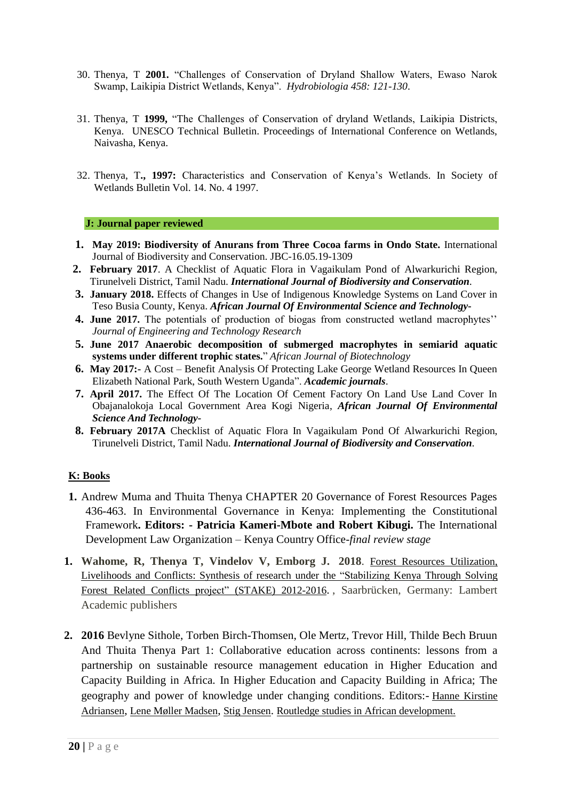- 30. Thenya, T **2001.** "Challenges of Conservation of Dryland Shallow Waters, Ewaso Narok Swamp, Laikipia District Wetlands, Kenya". *Hydrobiologia 458: 121-130*.
- 31. Thenya, T **1999,** "The Challenges of Conservation of dryland Wetlands, Laikipia Districts, Kenya. UNESCO Technical Bulletin. Proceedings of International Conference on Wetlands, Naivasha, Kenya.
- 32. Thenya, T**., 1997:** Characteristics and Conservation of Kenya's Wetlands. In Society of Wetlands Bulletin Vol. 14. No. 4 1997.

### **J: Journal paper reviewed**

- **1. May 2019: Biodiversity of Anurans from Three Cocoa farms in Ondo State.** International Journal of Biodiversity and Conservation. JBC-16.05.19-1309
- **2. February 2017**. A Checklist of Aquatic Flora in Vagaikulam Pond of Alwarkurichi Region, Tirunelveli District, Tamil Nadu. *International Journal of Biodiversity and Conservation.*
- **3. January 2018.** Effects of Changes in Use of Indigenous Knowledge Systems on Land Cover in Teso Busia County, Kenya. *African Journal Of Environmental Science and Technology-*
- **4. June 2017.** The potentials of production of biogas from constructed wetland macrophytes'' *Journal of Engineering and Technology Research*
- **5. June 2017 Anaerobic decomposition of submerged macrophytes in semiarid aquatic systems under different trophic states.**" *African Journal of Biotechnology*
- **6. May 2017:-** A Cost Benefit Analysis Of Protecting Lake George Wetland Resources In Queen Elizabeth National Park, South Western Uganda". *Academic journals*.
- **7. April 2017.** The Effect Of The Location Of Cement Factory On Land Use Land Cover In Obajanalokoja Local Government Area Kogi Nigeria, *African Journal Of Environmental Science And Technology-*
- **8. February 2017A** Checklist of Aquatic Flora In Vagaikulam Pond Of Alwarkurichi Region, Tirunelveli District, Tamil Nadu. *International Journal of Biodiversity and Conservation.*

# **K: Books**

- **1.** Andrew Muma and Thuita Thenya CHAPTER 20 Governance of Forest Resources Pages 436-463. In Environmental Governance in Kenya: Implementing the Constitutional Framework**. Editors: - Patricia Kameri-Mbote and Robert Kibugi.** The International Development Law Organization – Kenya Country Office-*final review stage*
- **1. Wahome, R, Thenya T, Vindelov V, Emborg J. 2018**. Forest Resources [Utilization,](https://profiles.uonbi.ac.ke/tthenya/publications/forest-resources-utilization-livelihoods-and-conflicts-synthesis-research-under) [Livelihoods](https://profiles.uonbi.ac.ke/tthenya/publications/forest-resources-utilization-livelihoods-and-conflicts-synthesis-research-under) and Conflicts: Synthesis of research under the "Stabilizing Kenya Through Solving Forest Related Conflicts project" (STAKE) [2012-2016](https://profiles.uonbi.ac.ke/tthenya/publications/forest-resources-utilization-livelihoods-and-conflicts-synthesis-research-under). , Saarbrücken, Germany: Lambert Academic publishers
- **2. 2016** Bevlyne Sithole, Torben Birch-Thomsen, Ole Mertz, Trevor Hill, Thilde Bech Bruun And Thuita Thenya Part 1: Collaborative education across continents: lessons from a partnership on sustainable resource management education in Higher Education and Capacity Building in Africa. In Higher Education and Capacity Building in Africa; The geography and power of knowledge under changing conditions. Editors:- [Hanne Kirstine](https://www.routledge.com/products/search?author=Hanne%20Kirstine%20Adriansen)  [Adriansen](https://www.routledge.com/products/search?author=Hanne%20Kirstine%20Adriansen), [Lene Møller Madsen](https://www.routledge.com/products/search?author=Lene%20M%C3%B8ller%20Madsen), [Stig Jensen](https://www.routledge.com/products/search?author=Stig%20Jensen). [Routledge studies in African development.](https://searchworks.stanford.edu/catalog?q=%22Routledge+studies+in+African+development.%22&search_field=search_series)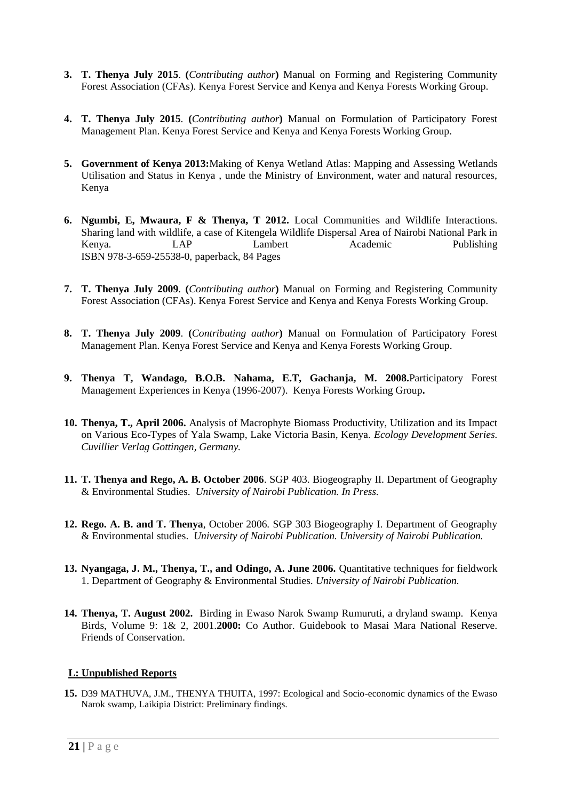- **3. T. Thenya July 2015**. **(***Contributing author***)** Manual on Forming and Registering Community Forest Association (CFAs). Kenya Forest Service and Kenya and Kenya Forests Working Group.
- **4. T. Thenya July 2015**. **(***Contributing author***)** Manual on Formulation of Participatory Forest Management Plan. Kenya Forest Service and Kenya and Kenya Forests Working Group.
- **5. Government of Kenya 2013:**Making of Kenya Wetland Atlas: Mapping and Assessing Wetlands Utilisation and Status in Kenya , unde the Ministry of Environment, water and natural resources, Kenya
- **6. Ngumbi, E, Mwaura, F & Thenya, T 2012.** Local Communities and Wildlife Interactions. Sharing land with wildlife, a case of Kitengela Wildlife Dispersal Area of Nairobi National Park in Kenya. LAP Lambert Academic Publishing ISBN 978-3-659-25538-0, paperback, 84 Pages
- **7. T. Thenya July 2009**. **(***Contributing author***)** Manual on Forming and Registering Community Forest Association (CFAs). Kenya Forest Service and Kenya and Kenya Forests Working Group.
- **8. T. Thenya July 2009**. **(***Contributing author***)** Manual on Formulation of Participatory Forest Management Plan. Kenya Forest Service and Kenya and Kenya Forests Working Group.
- **9. Thenya T, Wandago, B.O.B. Nahama, E.T, Gachanja, M. 2008.**Participatory Forest Management Experiences in Kenya (1996-2007). Kenya Forests Working Group**.**
- **10. Thenya, T., April 2006.** Analysis of Macrophyte Biomass Productivity, Utilization and its Impact on Various Eco-Types of Yala Swamp, Lake Victoria Basin, Kenya. *Ecology Development Series. Cuvillier Verlag Gottingen, Germany.*
- **11. T. Thenya and Rego, A. B. October 2006**. SGP 403. Biogeography II. Department of Geography & Environmental Studies. *University of Nairobi Publication. In Press.*
- **12. Rego. A. B. and T. Thenya**, October 2006. SGP 303 Biogeography I. Department of Geography & Environmental studies. *University of Nairobi Publication. University of Nairobi Publication.*
- **13. Nyangaga, J. M., Thenya, T., and Odingo, A. June 2006.** Quantitative techniques for fieldwork 1. Department of Geography & Environmental Studies. *University of Nairobi Publication.*
- **14. Thenya, T. August 2002.** Birding in Ewaso Narok Swamp Rumuruti, a dryland swamp. Kenya Birds, Volume 9: 1& 2, 2001.**2000:** Co Author. Guidebook to Masai Mara National Reserve. Friends of Conservation.

#### **L: Unpublished Reports**

**15.** D39 MATHUVA, J.M., THENYA THUITA, 1997: Ecological and Socio-economic dynamics of the Ewaso Narok swamp, Laikipia District: Preliminary findings.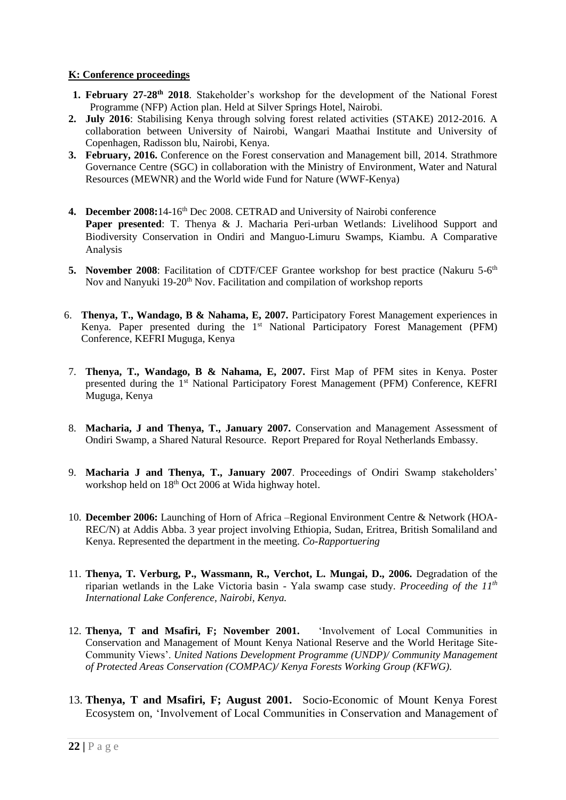# **K: Conference proceedings**

- **1. February 27-28th 2018**. Stakeholder's workshop for the development of the National Forest Programme (NFP) Action plan. Held at Silver Springs Hotel, Nairobi.
- **2. July 2016**: Stabilising Kenya through solving forest related activities (STAKE) 2012-2016. A collaboration between University of Nairobi, Wangari Maathai Institute and University of Copenhagen, Radisson blu, Nairobi, Kenya.
- **3. February, 2016.** Conference on the Forest conservation and Management bill, 2014. Strathmore Governance Centre (SGC) in collaboration with the Ministry of Environment, Water and Natural Resources (MEWNR) and the World wide Fund for Nature (WWF-Kenya)
- **4. December 2008:**14-16th Dec 2008. CETRAD and University of Nairobi conference **Paper presented**: T. Thenya & J. Macharia Peri-urban Wetlands: Livelihood Support and Biodiversity Conservation in Ondiri and Manguo-Limuru Swamps, Kiambu. A Comparative Analysis
- 5. November 2008: Facilitation of CDTF/CEF Grantee workshop for best practice (Nakuru 5-6<sup>th</sup> Nov and Nanyuki 19-20<sup>th</sup> Nov. Facilitation and compilation of workshop reports
- 6. **Thenya, T., Wandago, B & Nahama, E, 2007.** Participatory Forest Management experiences in Kenya. Paper presented during the 1<sup>st</sup> National Participatory Forest Management (PFM) Conference, KEFRI Muguga, Kenya
- 7. **Thenya, T., Wandago, B & Nahama, E, 2007.** First Map of PFM sites in Kenya. Poster presented during the 1st National Participatory Forest Management (PFM) Conference, KEFRI Muguga, Kenya
- 8. **Macharia, J and Thenya, T., January 2007.** Conservation and Management Assessment of Ondiri Swamp, a Shared Natural Resource. Report Prepared for Royal Netherlands Embassy.
- 9. **Macharia J and Thenya, T., January 2007**. Proceedings of Ondiri Swamp stakeholders' workshop held on  $18<sup>th</sup>$  Oct 2006 at Wida highway hotel.
- 10. **December 2006:** Launching of Horn of Africa –Regional Environment Centre & Network (HOA-REC/N) at Addis Abba. 3 year project involving Ethiopia, Sudan, Eritrea, British Somaliland and Kenya. Represented the department in the meeting. *Co-Rapportuering*
- 11. **Thenya, T. Verburg, P., Wassmann, R., Verchot, L. Mungai, D., 2006.** Degradation of the riparian wetlands in the Lake Victoria basin - Yala swamp case study. *Proceeding of the 11th International Lake Conference, Nairobi, Kenya.*
- 12. **Thenya, T and Msafiri, F; November 2001.** 'Involvement of Local Communities in Conservation and Management of Mount Kenya National Reserve and the World Heritage Site-Community Views'. *United Nations Development Programme (UNDP)/ Community Management of Protected Areas Conservation (COMPAC)/ Kenya Forests Working Group (KFWG).*
- 13. **Thenya, T and Msafiri, F; August 2001.** Socio-Economic of Mount Kenya Forest Ecosystem on, 'Involvement of Local Communities in Conservation and Management of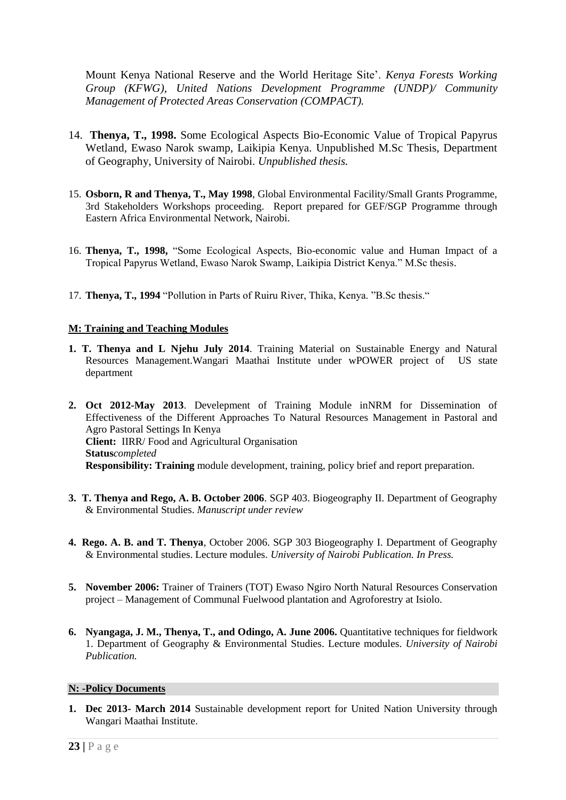Mount Kenya National Reserve and the World Heritage Site'. *Kenya Forests Working Group (KFWG), United Nations Development Programme (UNDP)/ Community Management of Protected Areas Conservation (COMPACT).* 

- 14. **Thenya, T., 1998.** Some Ecological Aspects Bio-Economic Value of Tropical Papyrus Wetland, Ewaso Narok swamp, Laikipia Kenya. Unpublished M.Sc Thesis, Department of Geography, University of Nairobi. *Unpublished thesis.*
- 15. **Osborn, R and Thenya, T., May 1998**, Global Environmental Facility/Small Grants Programme, 3rd Stakeholders Workshops proceeding. Report prepared for GEF/SGP Programme through Eastern Africa Environmental Network, Nairobi.
- 16. **Thenya, T., 1998,** "Some Ecological Aspects, Bio-economic value and Human Impact of a Tropical Papyrus Wetland, Ewaso Narok Swamp, Laikipia District Kenya." M.Sc thesis.
- 17. **Thenya, T., 1994** "Pollution in Parts of Ruiru River, Thika, Kenya. "B.Sc thesis."

# **M: Training and Teaching Modules**

- **1. T. Thenya and L Njehu July 2014**. Training Material on Sustainable Energy and Natural Resources Management.Wangari Maathai Institute under wPOWER project of US state department
- **2. Oct 2012-May 2013**. Develepment of Training Module inNRM for Dissemination of Effectiveness of the Different Approaches To Natural Resources Management in Pastoral and Agro Pastoral Settings In Kenya **Client:** IIRR/ Food and Agricultural Organisation **Status***completed* **Responsibility: Training** module development, training, policy brief and report preparation.
- **3. T. Thenya and Rego, A. B. October 2006**. SGP 403. Biogeography II. Department of Geography & Environmental Studies. *Manuscript under review*
- **4. Rego. A. B. and T. Thenya**, October 2006. SGP 303 Biogeography I. Department of Geography & Environmental studies. Lecture modules. *University of Nairobi Publication. In Press.*
- **5. November 2006:** Trainer of Trainers (TOT) Ewaso Ngiro North Natural Resources Conservation project – Management of Communal Fuelwood plantation and Agroforestry at Isiolo.
- **6. Nyangaga, J. M., Thenya, T., and Odingo, A. June 2006.** Quantitative techniques for fieldwork 1. Department of Geography & Environmental Studies. Lecture modules. *University of Nairobi Publication.*

#### **N: -Policy Documents**

**1. Dec 2013- March 2014** Sustainable development report for United Nation University through Wangari Maathai Institute.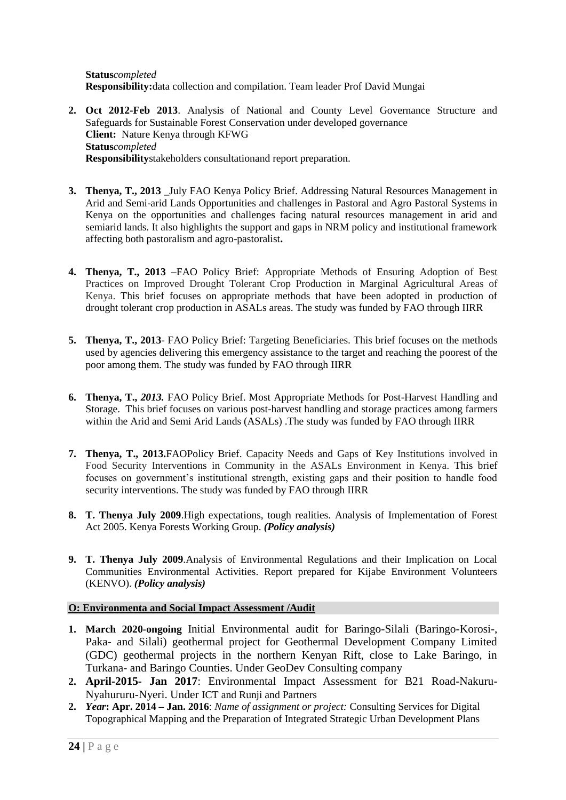**Status***completed* **Responsibility:**data collection and compilation. Team leader Prof David Mungai

- **2. Oct 2012-Feb 2013**. Analysis of National and County Level Governance Structure and Safeguards for Sustainable Forest Conservation under developed governance **Client:** Nature Kenya through KFWG **Status***completed* **Responsibility**stakeholders consultationand report preparation.
- **3. Thenya, T., 2013** July FAO Kenya Policy Brief. Addressing Natural Resources Management in Arid and Semi-arid Lands Opportunities and challenges in Pastoral and Agro Pastoral Systems in Kenya on the opportunities and challenges facing natural resources management in arid and semiarid lands. It also highlights the support and gaps in NRM policy and institutional framework affecting both pastoralism and agro-pastoralist**.**
- **4. Thenya, T., 2013 –**FAO Policy Brief: Appropriate Methods of Ensuring Adoption of Best Practices on Improved Drought Tolerant Crop Production in Marginal Agricultural Areas of Kenya. This brief focuses on appropriate methods that have been adopted in production of drought tolerant crop production in ASALs areas. The study was funded by FAO through IIRR
- **5. Thenya, T., 2013** FAO Policy Brief: Targeting Beneficiaries. This brief focuses on the methods used by agencies delivering this emergency assistance to the target and reaching the poorest of the poor among them. The study was funded by FAO through IIRR
- **6. Thenya, T.,** *2013.* FAO Policy Brief. Most Appropriate Methods for Post-Harvest Handling and Storage. This brief focuses on various post-harvest handling and storage practices among farmers within the Arid and Semi Arid Lands (ASALs) .The study was funded by FAO through IIRR
- **7. Thenya, T., 2013.**FAOPolicy Brief. Capacity Needs and Gaps of Key Institutions involved in Food Security Interventions in Community in the ASALs Environment in Kenya. This brief focuses on government's institutional strength, existing gaps and their position to handle food security interventions. The study was funded by FAO through IIRR
- **8. T. Thenya July 2009**.High expectations, tough realities. Analysis of Implementation of Forest Act 2005. Kenya Forests Working Group. *(Policy analysis)*
- **9. T. Thenya July 2009**.Analysis of Environmental Regulations and their Implication on Local Communities Environmental Activities. Report prepared for Kijabe Environment Volunteers (KENVO). *(Policy analysis)*

# **O: Environmenta and Social Impact Assessment /Audit**

- **1. March 2020-ongoing** Initial Environmental audit for Baringo-Silali (Baringo-Korosi-, Paka- and Silali) geothermal project for Geothermal Development Company Limited (GDC) geothermal projects in the northern Kenyan Rift, close to Lake Baringo, in Turkana- and Baringo Counties. Under GeoDev Consulting company
- **2. April-2015- Jan 2017**: Environmental Impact Assessment for B21 Road-Nakuru-Nyahururu-Nyeri. Under ICT and Runji and Partners
- **2.** *Year***: Apr. 2014 – Jan. 2016**: *Name of assignment or project:* Consulting Services for Digital Topographical Mapping and the Preparation of Integrated Strategic Urban Development Plans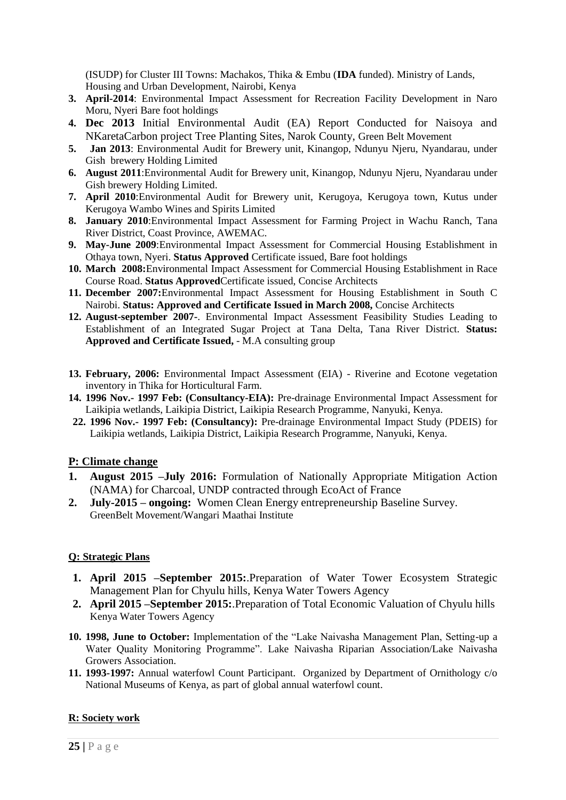(ISUDP) for Cluster III Towns: Machakos, Thika & Embu (**IDA** funded). Ministry of Lands, Housing and Urban Development, Nairobi, Kenya

- **3. April-2014**: Environmental Impact Assessment for Recreation Facility Development in Naro Moru, Nyeri Bare foot holdings
- **4. Dec 2013** Initial Environmental Audit (EA) Report Conducted for Naisoya and NKaretaCarbon project Tree Planting Sites, Narok County, Green Belt Movement
- **5. Jan 2013**: Environmental Audit for Brewery unit, Kinangop, Ndunyu Njeru, Nyandarau, under Gish brewery Holding Limited
- **6. August 2011**:Environmental Audit for Brewery unit, Kinangop, Ndunyu Njeru, Nyandarau under Gish brewery Holding Limited.
- **7. April 2010**:Environmental Audit for Brewery unit, Kerugoya, Kerugoya town, Kutus under Kerugoya Wambo Wines and Spirits Limited
- **8. January 2010**:Environmental Impact Assessment for Farming Project in Wachu Ranch, Tana River District, Coast Province, AWEMAC.
- **9. May-June 2009**:Environmental Impact Assessment for Commercial Housing Establishment in Othaya town, Nyeri. **Status Approved** Certificate issued, Bare foot holdings
- **10. March 2008:**Environmental Impact Assessment for Commercial Housing Establishment in Race Course Road. **Status Approved**Certificate issued, Concise Architects
- **11. December 2007:**Environmental Impact Assessment for Housing Establishment in South C Nairobi. **Status: Approved and Certificate Issued in March 2008,** Concise Architects
- **12. August-september 2007-**. Environmental Impact Assessment Feasibility Studies Leading to Establishment of an Integrated Sugar Project at Tana Delta, Tana River District. **Status: Approved and Certificate Issued,** - M.A consulting group
- **13. February, 2006:** Environmental Impact Assessment (EIA) Riverine and Ecotone vegetation inventory in Thika for Horticultural Farm.
- **14. 1996 Nov.- 1997 Feb: (Consultancy-EIA):** Pre-drainage Environmental Impact Assessment for Laikipia wetlands, Laikipia District, Laikipia Research Programme, Nanyuki, Kenya.
- **22. 1996 Nov.- 1997 Feb: (Consultancy):** Pre-drainage Environmental Impact Study (PDEIS) for Laikipia wetlands, Laikipia District, Laikipia Research Programme, Nanyuki, Kenya.

# **P: Climate change**

- **1. August 2015 –July 2016:** Formulation of Nationally Appropriate Mitigation Action (NAMA) for Charcoal, UNDP contracted through EcoAct of France
- **2. July-2015 – ongoing:** Women Clean Energy entrepreneurship Baseline Survey. GreenBelt Movement/Wangari Maathai Institute

# **Q: Strategic Plans**

- **1. April 2015 –September 2015:**.Preparation of Water Tower Ecosystem Strategic Management Plan for Chyulu hills, Kenya Water Towers Agency
- **2. April 2015 –September 2015:**.Preparation of Total Economic Valuation of Chyulu hills Kenya Water Towers Agency
- **10. 1998, June to October:** Implementation of the "Lake Naivasha Management Plan, Setting-up a Water Quality Monitoring Programme". Lake Naivasha Riparian Association/Lake Naivasha Growers Association.
- **11. 1993-1997:** Annual waterfowl Count Participant. Organized by Department of Ornithology c/o National Museums of Kenya, as part of global annual waterfowl count.

# **R: Society work**